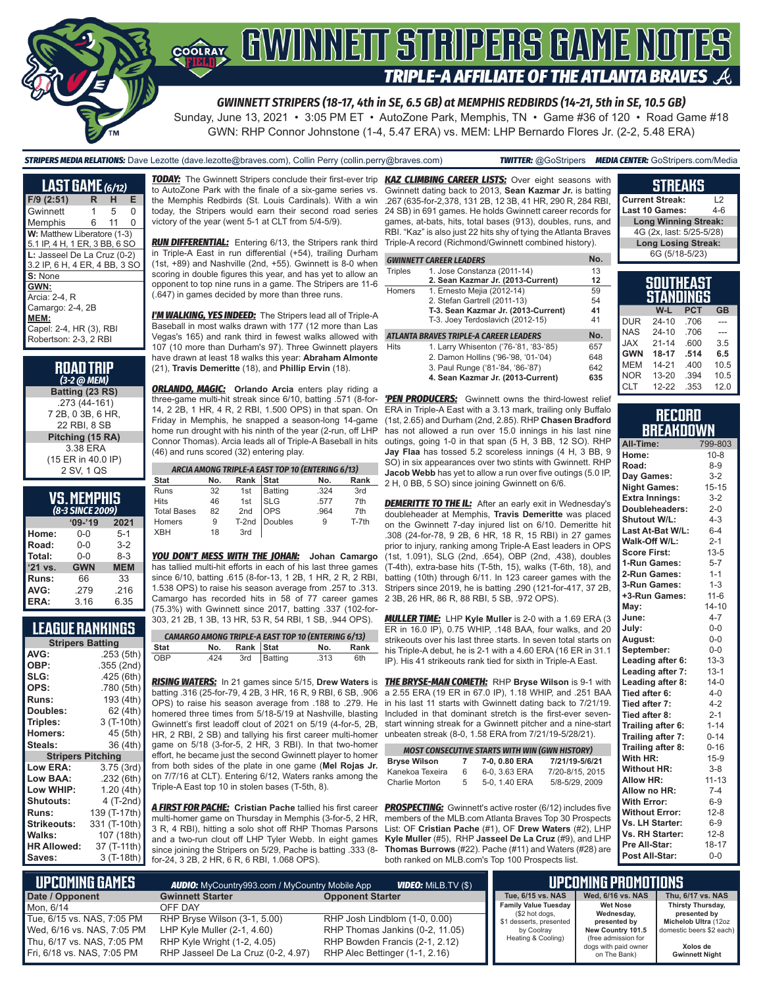

Sunday, June 13, 2021 • 3:05 PM ET • AutoZone Park, Memphis, TN • Game #36 of 120 • Road Game #18 GWN: RHP Connor Johnstone (1-4, 5.47 ERA) vs. MEM: LHP Bernardo Flores Jr. (2-2, 5.48 ERA)

*STRIPERS MEDIA RELATIONS:* Dave Lezotte (dave.lezotte@braves.com), Collin Perry (collin.perry@braves.com) *TWITTER:* @GoStripers *MEDIA CENTER:* GoStripers.com/Media

| <b>LAST GAME</b> $(6/12)$     |   |    |   |
|-------------------------------|---|----|---|
| $F/9$ (2:51)                  | R | н  | Е |
| Gwinnett                      | 1 | 5  | O |
| Memphis                       | 6 | 11 | O |
| W: Matthew Liberatore (1-3)   |   |    |   |
| 5.1 IP, 4 H, 1 ER, 3 BB, 6 SO |   |    |   |
| L: Jasseel De La Cruz (0-2)   |   |    |   |
| 3.2 IP, 6 H, 4 ER, 4 BB, 3 SO |   |    |   |
| S: None                       |   |    |   |
| GWN:                          |   |    |   |
| Arcia: 2-4. R                 |   |    |   |
| Camargo: 2-4, 2B              |   |    |   |
| MEM:                          |   |    |   |
| Capel: 2-4, HR (3), RBI       |   |    |   |
| Robertson: 2-3, 2 RBI         |   |    |   |

| <b>ROAD TRIP</b> |  |
|------------------|--|
| $(3-2)$ (a MEM)  |  |

**Batting (23 RS)** .273 (44-161) 7 2B, 0 3B, 6 HR, 22 RBI, 8 SB **Pitching (15 RA)** 3.38 ERA (15 ER in 40.0 IP) 2 SV, 1 QS

# **VS. MEMPHIS**

| (8-3 SINCE 2009) |            |            |  |  |  |
|------------------|------------|------------|--|--|--|
|                  | $09 - 19$  | 2021       |  |  |  |
| Home:            | $0 - 0$    | $5 - 1$    |  |  |  |
| Road:            | $0 - 0$    | $3 - 2$    |  |  |  |
| Total:           | $0 - 0$    | $8 - 3$    |  |  |  |
| '21 vs.          | <b>GWN</b> | <b>MEM</b> |  |  |  |
| Runs:            | 66         | 33         |  |  |  |
| AVG:             | .279       | .216       |  |  |  |
| ERA:             | 3.16       | 6.35       |  |  |  |

## **LEAGUE RANKINGS**

|                          | <b>Stripers Batting</b> |  |  |
|--------------------------|-------------------------|--|--|
| AVG:                     | .253 (5th)              |  |  |
| OBP:                     | .355 (2nd)              |  |  |
| SLG:                     | .425 (6th)              |  |  |
| OPS:                     | .780 (5th)              |  |  |
| <b>Runs:</b>             | 193 (4th)               |  |  |
| <b>Doubles:</b>          | 62 (4th)                |  |  |
| Triples:                 | 3 (T-10th)              |  |  |
| <b>Homers:</b>           | 45 (5th)                |  |  |
| Steals:                  | 36 (4th)                |  |  |
| <b>Stripers Pitching</b> |                         |  |  |
| <b>Low ERA:</b>          | 3.75 (3rd)              |  |  |
| Low BAA:                 | .232 (6th)              |  |  |
| Low WHIP:                | 1.20 (4th)              |  |  |
| <b>Shutouts:</b>         | 4 (T-2nd)               |  |  |
| <b>Runs:</b>             | 139 (T-17th)            |  |  |
| <b>Strikeouts:</b>       | 331 (T-10th)            |  |  |
| Walks:                   | 107 (18th)              |  |  |
| <b>HR Allowed:</b>       | 37 (T-11th)             |  |  |
| Saves:                   | 3 (T-18th)              |  |  |

to AutoZone Park with the finale of a six-game series vs. the Memphis Redbirds (St. Louis Cardinals). With a win today, the Stripers would earn their second road series victory of the year (went 5-1 at CLT from 5/4-5/9).

RUN DIFFERENTIAL: Entering 6/13, the Stripers rank third Triple-A record (Richmond/Gwinnett combined history). in Triple-A East in run differential (+54), trailing Durham (1st, +89) and Nashville (2nd, +55). Gwinnett is 8-0 when scoring in double figures this year, and has yet to allow an opponent to top nine runs in a game. The Stripers are 11-6 (.647) in games decided by more than three runs.

*I'M WALKING, YES INDEED:* The Stripers lead all of Triple-A Baseball in most walks drawn with 177 (12 more than Las Vegas's 165) and rank third in fewest walks allowed with 107 (10 more than Durham's 97). Three Gwinnett players have drawn at least 18 walks this year: **Abraham Almonte** (21), **Travis Demeritte** (18), and **Phillip Ervin** (18).

*ORLANDO, MAGIC:* **Orlando Arcia** enters play riding a three-game multi-hit streak since 6/10, batting .571 (8-for-14, 2 2B, 1 HR, 4 R, 2 RBI, 1.500 OPS) in that span. On Friday in Memphis, he snapped a season-long 14-game home run drought with his ninth of the year (2-run, off LHP Connor Thomas). Arcia leads all of Triple-A Baseball in hits (46) and runs scored (32) entering play.

|                    |     |           | ARCIA AMONG TRIPLE-A EAST TOP 10 (ENTERING 6/13) |      |       |
|--------------------|-----|-----------|--------------------------------------------------|------|-------|
| Stat               | No. | Rank Stat |                                                  | No.  | Rank  |
| Runs               | 32  |           | 1st Batting                                      | .324 | 3rd   |
| Hits               | 46  |           | 1st SLG<br>2nd OPS<br>T-2nd Doubles<br>3rd       | .577 | 7th   |
| <b>Total Bases</b> | 82  |           |                                                  | .964 | 7th   |
| Homers             | 9   |           |                                                  | 9    | T-7th |
| XBH                | 18  |           |                                                  |      |       |

*YOU DON'T MESS WITH THE JOHAN:* **Johan Camargo** has tallied multi-hit efforts in each of his last three games since 6/10, batting .615 (8-for-13, 1 2B, 1 HR, 2 R, 2 RBI, 1.538 OPS) to raise his season average from .257 to .313. Camargo has recorded hits in 58 of 77 career games (75.3%) with Gwinnett since 2017, batting .337 (102-for-303, 21 2B, 1 3B, 13 HR, 53 R, 54 RBI, 1 SB, .944 OPS).

|      |      |               | <b>CAMARGO AMONG TRIPLE-A EAST TOP 10 (ENTERING 6/13)</b> |      |      |
|------|------|---------------|-----------------------------------------------------------|------|------|
| Stat |      | No. Rank Stat |                                                           | No.  | Rank |
| OBP  | .424 |               | 3rd Batting                                               | .313 | 6th  |

batting .316 (25-for-79, 4 2B, 3 HR, 16 R, 9 RBI, 6 SB, .906 OPS) to raise his season average from .188 to .279. He homered three times from 5/18-5/19 at Nashville, blasting Included in that dominant stretch is the first-ever seven-Gwinnett's first leadoff clout of 2021 on 5/19 (4-for-5, 2B, HR, 2 RBI, 2 SB) and tallying his first career multi-homer unbeaten streak (8-0, 1.58 ERA from 7/21/19-5/28/21). game on 5/18 (3-for-5, 2 HR, 3 RBI). In that two-homer effort, he became just the second Gwinnett player to homer from both sides of the plate in one game (**Mel Rojas Jr.** on 7/7/16 at CLT). Entering 6/12, Waters ranks among the Triple-A East top 10 in stolen bases (T-5th, 8).

multi-homer game on Thursday in Memphis (3-for-5, 2 HR, 3 R, 4 RBI), hitting a solo shot off RHP Thomas Parsons and a two-run clout off LHP Tyler Webb. In eight games since joining the Stripers on 5/29, Pache is batting .333 (8 for-24, 3 2B, 2 HR, 6 R, 6 RBI, 1.068 OPS).

*TODAY:* The Gwinnett Stripers conclude their first-ever trip *KAZ CLIMBING CAREER LISTS:* Over eight seasons with Gwinnett dating back to 2013, **Sean Kazmar Jr.** is batting .267 (635-for-2,378, 131 2B, 12 3B, 41 HR, 290 R, 284 RBI, 24 SB) in 691 games. He holds Gwinnett career records for games, at-bats, hits, total bases (913), doubles, runs, and RBI. "Kaz" is also just 22 hits shy of tying the Atlanta Braves

|                | <b>GWINNETT CAREER LEADERS</b>         | No. |
|----------------|----------------------------------------|-----|
| <b>Triples</b> | 1. Jose Constanza (2011-14)            | 13  |
|                | 2. Sean Kazmar Jr. (2013-Current)      | 12  |
| Homers         | 1. Ernesto Mejia (2012-14)             | 59  |
|                | 2. Stefan Gartrell (2011-13)           | 54  |
|                | T-3. Sean Kazmar Jr. (2013-Current)    | 41  |
|                | T-3. Joey Terdoslavich (2012-15)       | 41  |
|                | ATLANTA BRAVES TRIPLE-A CAREER LEADERS | No. |
| <b>Hits</b>    | 1. Larry Whisenton ('76-'81, '83-'85)  | 657 |
|                | 2. Damon Hollins ('96-'98, '01-'04)    | 648 |
|                | 3. Paul Runge ('81-'84, '86-'87)       | 642 |
|                | 4. Sean Kazmar Jr. (2013-Current)      | 635 |

**'PEN PRODUCERS:** Gwinnett owns the third-lowest relief ERA in Triple-A East with a 3.13 mark, trailing only Buffalo (1st, 2.65) and Durham (2nd, 2.85). RHP **Chasen Bradford** has not allowed a run over 15.0 innings in his last nine outings, going 1-0 in that span (5 H, 3 BB, 12 SO). RHP **Jay Flaa** has tossed 5.2 scoreless innings (4 H, 3 BB, 9 SO) in six appearances over two stints with Gwinnett. RHP **Jacob Webb** has yet to allow a run over five outings (5.0 IP, 2 H, 0 BB, 5 SO) since joining Gwinnett on 6/6.

**DEMERITTE TO THE IL:** After an early exit in Wednesday's doubleheader at Memphis, **Travis Demeritte** was placed on the Gwinnett 7-day injured list on 6/10. Demeritte hit .308 (24-for-78, 9 2B, 6 HR, 18 R, 15 RBI) in 27 games prior to injury, ranking among Triple-A East leaders in OPS (1st, 1.091), SLG (2nd, .654), OBP (2nd, .438), doubles (T-4th), extra-base hits (T-5th, 15), walks (T-6th, 18), and batting (10th) through 6/11. In 123 career games with the Stripers since 2019, he is batting .290 (121-for-417, 37 2B, 2 3B, 26 HR, 86 R, 88 RBI, 5 SB, .972 OPS).

*MULLER TIME:* LHP **Kyle Muller** is 2-0 with a 1.69 ERA (3 ER in 16.0 IP), 0.75 WHIP, .148 BAA, four walks, and 20 strikeouts over his last three starts. In seven total starts on his Triple-A debut, he is 2-1 with a 4.60 ERA (16 ER in 31.1 IP). His 41 strikeouts rank tied for sixth in Triple-A East.

*RISING WATERS:* In 21 games since 5/15, **Drew Waters** is *THE BRYSE-MAN COMETH:* RHP **Bryse Wilson** is 9-1 with a 2.55 ERA (19 ER in 67.0 IP), 1.18 WHIP, and .251 BAA in his last 11 starts with Gwinnett dating back to 7/21/19. start winning streak for a Gwinnett pitcher and a nine-start

|                     |              | <b>MOST CONSECUTIVE STARTS WITH WIN (GWN HISTORY)</b> |                 |
|---------------------|--------------|-------------------------------------------------------|-----------------|
| <b>Bryse Wilson</b> | $\mathbf{z}$ | 7-0, 0.80 ERA                                         | 7/21/19-5/6/21  |
| Kanekoa Texeira     | 6            | 6-0, 3.63 ERA                                         | 7/20-8/15, 2015 |
| Charlie Morton      | 5.           | 5-0, 1.40 ERA                                         | 5/8-5/29, 2009  |

*A FIRST FOR PACHE:* **Cristian Pache** tallied his first career *PROSPECTING:* Gwinnett's active roster (6/12) includes five members of the MLB.com Atlanta Braves Top 30 Prospects List: OF **Cristian Pache** (#1), OF **Drew Waters** (#2), LHP **Kyle Muller** (#5), RHP **Jasseel De La Cruz** (#9), and LHP **Thomas Burrows** (#22). Pache (#11) and Waters (#28) are both ranked on MLB.com's Top 100 Prospects list.

| Last 10 Games:                | 4-R |
|-------------------------------|-----|
| <b>Long Winning Streak:</b>   |     |
| 4G (2x, last: 5/25-5/28)      |     |
| <b>Long Losing Streak:</b>    |     |
| 6G (5/18-5/23)                |     |
|                               |     |
| <b>SOUTHEAST</b><br>STANNINGS |     |

**STREAKS Current Streak:** L2

|            | SIANUINGS |            |           |
|------------|-----------|------------|-----------|
|            | W-L       | <b>PCT</b> | <b>GB</b> |
| <b>DUR</b> | $24 - 10$ | .706       |           |
| <b>NAS</b> | $24 - 10$ | .706       |           |
| <b>JAX</b> | $21 - 14$ | .600       | 3.5       |
| <b>GWN</b> | 18-17     | .514       | 6.5       |
| <b>MEM</b> | $14 - 21$ | .400       | 10.5      |
| <b>NOR</b> | $13 - 20$ | .394       | 10.5      |
| <b>CLT</b> | $12 - 22$ | .353       | 12.0      |

#### **RECORD BREAKDOWN**

| All-Time:             | 799-803   |
|-----------------------|-----------|
| Home:                 | $10 - 8$  |
| Road:                 | $8 - 9$   |
| Day Games:            | $3 - 2$   |
| <b>Night Games:</b>   | $15 - 15$ |
| <b>Extra Innings:</b> | $3-2$     |
| Doubleheaders:        | $2 - 0$   |
| Shutout W/L:          | $4 - 3$   |
| Last At-Bat W/L:      | $6 - 4$   |
| Walk-Off W/L:         | $2 - 1$   |
| <b>Score First:</b>   | $13 - 5$  |
| 1-Run Games:          | $5 - 7$   |
| 2-Run Games:          | $1 - 1$   |
| 3-Run Games:          | $1 - 3$   |
| +3-Run Games:         | $11 - 6$  |
| May:                  | $14 - 10$ |
| June:                 | $4 - 7$   |
| July:                 | $0 - 0$   |
| August:               | $0-0$     |
| September:            | $0-0$     |
| Leading after 6:      | $13 - 3$  |
| Leading after 7:      | $13 - 1$  |
| Leading after 8:      | $14-0$    |
| Tied after 6:         | $4 - 0$   |
| Tied after 7:         | $4 - 2$   |
| Tied after 8:         | $2 - 1$   |
| Trailing after 6:     | $1 - 14$  |
| Trailing after 7:     | $0 - 14$  |
| Trailing after 8:     | $0 - 16$  |
| With HR:              | $15-9$    |
| <b>Without HR:</b>    | $3 - 8$   |
| <b>Allow HR:</b>      | $11 - 13$ |
| Allow no HR:          | $7 - 4$   |
| <b>With Error:</b>    | $6-9$     |
| <b>Without Error:</b> | $12 - 8$  |
| Vs. LH Starter:       | $6-9$     |
| Vs. RH Starter:       | $12 - 8$  |
| Pre All-Star:         | 18-17     |
| Post All-Star:        | $0 - 0$   |

| L UPCOMING GAMES I         | <b>AUDIO:</b> MyCountry993.com / MyCountry Mobile App | <b>VIDEO:</b> Milb.tv (\$)      |                                           | <b>LUPCOMING PROMOTIONS</b>          |                                      |
|----------------------------|-------------------------------------------------------|---------------------------------|-------------------------------------------|--------------------------------------|--------------------------------------|
| Date / Opponent            | <b>Gwinnett Starter</b>                               | <b>Opponent Starter</b>         | Tue. 6/15 vs. NAS                         | Wed. 6/16 vs. NAS                    | Thu, 6/17 vs. NAS                    |
| Mon. 6/14                  | OFF DAY                                               |                                 | <b>Family Value Tuesday</b>               | <b>Wet Nose</b>                      | Thirsty Thursday,                    |
| Tue, 6/15 vs. NAS, 7:05 PM | RHP Bryse Wilson (3-1, 5.00)                          | RHP Josh Lindblom (1-0, 0.00)   | (\$2 hot dogs,<br>\$1 desserts, presented | Wednesday,<br>presented by           | presented by<br>Michelob Ultra (12oz |
| Wed, 6/16 vs. NAS, 7:05 PM | LHP Kyle Muller $(2-1, 4.60)$                         | RHP Thomas Jankins (0-2, 11.05) | by Coolray                                | New Country 101.5                    | domestic beers \$2 each)             |
| Thu, 6/17 vs. NAS, 7:05 PM | RHP Kyle Wright (1-2, 4.05)                           | RHP Bowden Francis (2-1, 2.12)  | Heating & Cooling)                        | (free admission for                  | Xolos de                             |
| Fri. 6/18 vs. NAS. 7:05 PM | RHP Jasseel De La Cruz (0-2, 4.97)                    | RHP Alec Bettinger (1-1, 2.16)  |                                           | dogs with paid owner<br>on The Bank) | <b>Gwinnett Night</b>                |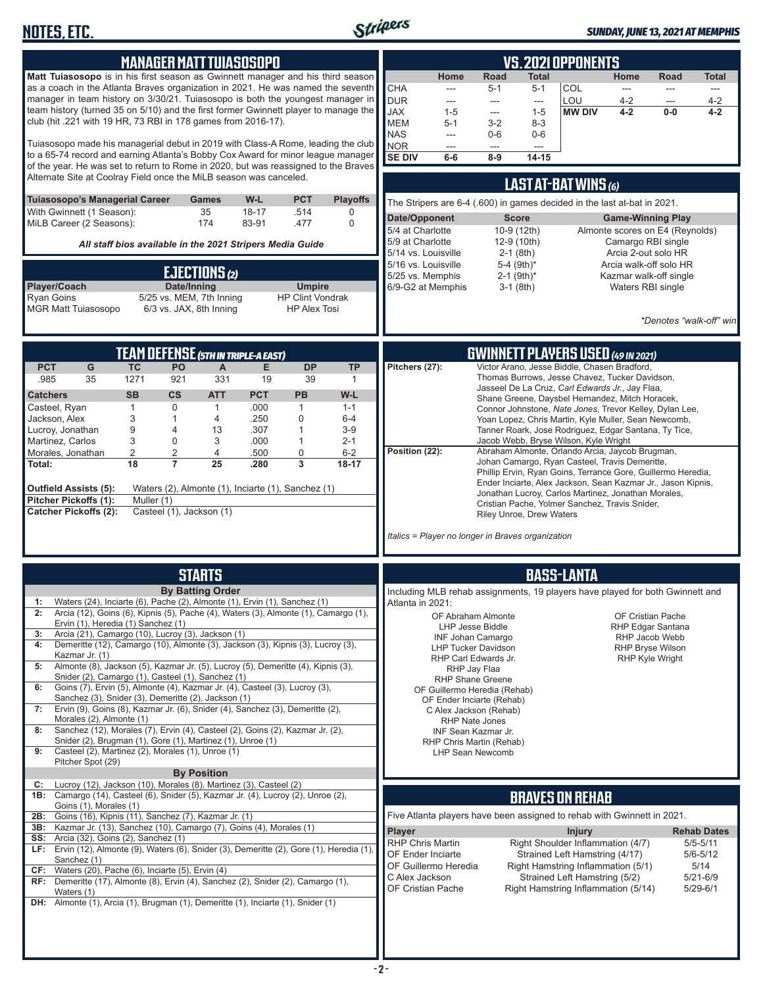

| <b>MANAGER MATT TUIASOSOPO</b><br>Matt Tuiasosopo is in his first season as Gwinnett manager and his third season<br>as a coach in the Atlanta Braves organization in 2021. He was named the seventh<br>manager in team history on 3/30/21. Tuiasosopo is both the youngest manager in<br>team history (turned 35 on 5/10) and the first former Gwinnett player to manage the<br>club (hit .221 with 19 HR, 73 RBI in 178 games from 2016-17).<br>Tuiasosopo made his managerial debut in 2019 with Class-A Rome, leading the club<br>to a 65-74 record and earning Atlanta's Bobby Cox Award for minor league manager<br>of the year. He was set to return to Rome in 2020, but was reassigned to the Braves<br>Alternate Site at Coolray Field once the MiLB season was canceled.<br>Tuiasosopo's Managerial Career<br>W-L<br><b>PCT</b><br><b>Playoffs</b><br>Games<br>With Gwinnett (1 Season):<br>35<br>$18 - 17$<br>.514<br>0<br>MiLB Career (2 Seasons):<br>174<br>83-91<br>.477<br>$\mathbf 0$<br>All staff bios available in the 2021 Stripers Media Guide<br>EJECTIONS (2)<br>Date/Inning<br>Player/Coach<br><b>Umpire</b> | <b>VS. 2021 OPPONENTS</b><br>Home<br>Road<br>Total<br>Home<br>Road<br>Total<br><b>CHA</b><br>COL<br>$5 - 1$<br>$5 - 1$<br>---<br>---<br>---<br>---<br><b>DUR</b><br>LOU<br>$4 - 2$<br>$4 - 2$<br>---<br>$\sim$<br>$\sim$<br>---<br><b>JAX</b><br>$1 - 5$<br><b>MW DIV</b><br>$4 - 2$<br>$1 - 5$<br>$0-0$<br>$4 - 2$<br>$\sim$<br><b>MEM</b><br>$3 - 2$<br>$5 - 1$<br>$8 - 3$<br><b>NAS</b><br>$0-6$<br>$0-6$<br>---<br><b>NOR</b><br>---<br>---<br>$---$<br><b>SE DIV</b><br>$8-9$<br>$6-6$<br>$14 - 15$<br>LAST AT-BAT WINS (6)<br>The Stripers are 6-4 (.600) in games decided in the last at-bat in 2021.<br>Date/Opponent<br><b>Score</b><br><b>Game-Winning Play</b><br>5/4 at Charlotte<br>10-9 (12th)<br>Almonte scores on E4 (Reynolds)<br>12-9 (10th)<br>Camargo RBI single<br>5/9 at Charlotte<br>5/14 vs. Louisville<br>$2-1$ (8th)<br>Arcia 2-out solo HR<br>5-4 (9th)*<br>5/16 vs. Louisville<br>Arcia walk-off solo HR<br>5/25 vs. Memphis<br>$2-1$ (9th) <sup>*</sup><br>Kazmar walk-off single<br>6/9-G2 at Memphis<br>$3-1$ (8th)<br>Waters RBI single |
|--------------------------------------------------------------------------------------------------------------------------------------------------------------------------------------------------------------------------------------------------------------------------------------------------------------------------------------------------------------------------------------------------------------------------------------------------------------------------------------------------------------------------------------------------------------------------------------------------------------------------------------------------------------------------------------------------------------------------------------------------------------------------------------------------------------------------------------------------------------------------------------------------------------------------------------------------------------------------------------------------------------------------------------------------------------------------------------------------------------------------------------|-------------------------------------------------------------------------------------------------------------------------------------------------------------------------------------------------------------------------------------------------------------------------------------------------------------------------------------------------------------------------------------------------------------------------------------------------------------------------------------------------------------------------------------------------------------------------------------------------------------------------------------------------------------------------------------------------------------------------------------------------------------------------------------------------------------------------------------------------------------------------------------------------------------------------------------------------------------------------------------------------------------------------------------------------------------------------|
| 5/25 vs. MEM, 7th Inning<br><b>Ryan Goins</b><br><b>HP Clint Vondrak</b><br><b>MGR Matt Tuiasosopo</b><br>6/3 vs. JAX, 8th Inning<br><b>HP Alex Tosi</b>                                                                                                                                                                                                                                                                                                                                                                                                                                                                                                                                                                                                                                                                                                                                                                                                                                                                                                                                                                             | *Denotes "walk-off" win                                                                                                                                                                                                                                                                                                                                                                                                                                                                                                                                                                                                                                                                                                                                                                                                                                                                                                                                                                                                                                                 |
| <b>TEAM DEFENSE (5TH IN TRIPLE-A EAST)</b><br><b>PCT</b><br>G<br><b>TC</b><br>PO<br><b>DP</b><br>A<br>Е<br><b>TP</b><br>35<br>1271<br>.985<br>921<br>331<br>19<br>39<br>$\mathbf{1}$<br><b>PCT</b><br><b>PB</b><br><b>SB</b><br>$\mathsf{cs}$<br><b>ATT</b><br>W-L<br><b>Catchers</b><br>$\mathbf{1}$<br>$\mathbf 0$<br>.000<br>Casteel, Ryan<br>$\mathbf{1}$<br>$\mathbf{1}$<br>$1 - 1$<br>3<br>0<br>Jackson, Alex<br>1<br>4<br>.250<br>$6-4$<br>9<br>.307<br>Lucroy, Jonathan<br>$\overline{4}$<br>13<br>1<br>$3-9$<br>Martinez, Carlos<br>3<br>$\mathbf 0$<br>3<br>.000<br>1<br>$2 - 1$<br>$\overline{2}$<br>2<br>.500<br>0<br>$6 - 2$<br>Morales, Jonathan<br>4<br>18<br>$\overline{7}$<br>25<br>3<br>Total:<br>.280<br>$18 - 17$<br>Outfield Assists (5):<br>Waters (2), Almonte (1), Inciarte (1), Sanchez (1)<br>Pitcher Pickoffs (1):<br>Muller (1)<br><b>Catcher Pickoffs (2):</b><br>Casteel (1), Jackson (1)                                                                                                                                                                                                              | <b>GWINNETT PLAYERS USED (49 IN 2021)</b><br>Pitchers (27):<br>Victor Arano, Jesse Biddle, Chasen Bradford,<br>Thomas Burrows, Jesse Chavez, Tucker Davidson,<br>Jasseel De La Cruz, Carl Edwards Jr., Jay Flaa,<br>Shane Greene, Daysbel Hernandez, Mitch Horacek,<br>Connor Johnstone, Nate Jones, Trevor Kelley, Dylan Lee,<br>Yoan Lopez, Chris Martin, Kyle Muller, Sean Newcomb,<br>Tanner Roark, Jose Rodriguez, Edgar Santana, Ty Tice,<br>Jacob Webb, Bryse Wilson, Kyle Wright<br>Position (22):<br>Abraham Almonte, Orlando Arcia, Jaycob Brugman,<br>Johan Camargo, Ryan Casteel, Travis Demeritte,<br>Phillip Ervin, Ryan Goins, Terrance Gore, Guillermo Heredia,<br>Ender Inciarte, Alex Jackson, Sean Kazmar Jr., Jason Kipnis,<br>Jonathan Lucroy, Carlos Martinez, Jonathan Morales,<br>Cristian Pache, Yolmer Sanchez, Travis Snider,<br>Riley Unroe, Drew Waters<br>Italics = Player no longer in Braves organization                                                                                                                               |
| <b>STARTS</b><br><b>By Batting Order</b>                                                                                                                                                                                                                                                                                                                                                                                                                                                                                                                                                                                                                                                                                                                                                                                                                                                                                                                                                                                                                                                                                             | <b>BASS-LANTA</b><br>Including MLB rehab assignments, 19 players have played for both Gwinnett and                                                                                                                                                                                                                                                                                                                                                                                                                                                                                                                                                                                                                                                                                                                                                                                                                                                                                                                                                                      |
| Waters (24), Inciarte (6), Pache (2), Almonte (1), Ervin (1), Sanchez (1)<br>Arcia (12), Goins (6), Kipnis (5), Pache (4), Waters (3), Almonte (1), Camargo (1),<br>2:<br>Ervin (1), Heredia (1) Sanchez (1)<br>Arcia (21), Camargo (10), Lucroy (3), Jackson (1)<br>3:<br>Demeritte (12), Camargo (10), Almonte (3), Jackson (3), Kipnis (3), Lucroy (3),<br>4:<br>Kazmar Jr. (1)<br>Almonte (8), Jackson (5), Kazmar Jr. (5), Lucroy (5), Demeritte (4), Kipnis (3),<br>5:<br>Snider (2), Camargo (1), Casteel (1), Sanchez (1)<br>Goins (7), Ervin (5), Almonte (4), Kazmar Jr. (4), Casteel (3), Lucroy (3),<br>6:<br>Sanchez (3), Snider (3), Demeritte (2), Jackson (1)<br>Ervin (9), Goins (8), Kazmar Jr. (6), Snider (4), Sanchez (3), Demeritte (2),<br>7:<br>Morales (2), Almonte (1)<br>Sanchez (12), Morales (7), Ervin (4), Casteel (2), Goins (2), Kazmar Jr. (2),<br>8:<br>Snider (2), Brugman (1), Gore (1), Martinez (1), Unroe (1)<br>Casteel (2), Martinez (2), Morales (1), Unroe (1)<br>9:<br>Pitcher Spot (29)<br><b>By Position</b>                                                                          | Atlanta in 2021:<br>OF Abraham Almonte<br>OF Cristian Pache<br>LHP Jesse Biddle<br>RHP Edgar Santana<br><b>INF Johan Camargo</b><br>RHP Jacob Webb<br><b>LHP Tucker Davidson</b><br><b>RHP Bryse Wilson</b><br>RHP Carl Edwards Jr.<br><b>RHP Kyle Wright</b><br>RHP Jay Flaa<br><b>RHP Shane Greene</b><br>OF Guillermo Heredia (Rehab)<br>OF Ender Inciarte (Rehab)<br>C Alex Jackson (Rehab)<br>RHP Nate Jones<br>INF Sean Kazmar Jr.<br>RHP Chris Martin (Rehab)<br>LHP Sean Newcomb                                                                                                                                                                                                                                                                                                                                                                                                                                                                                                                                                                                |
| C: Lucroy (12), Jackson (10), Morales (8), Martinez (3), Casteel (2)<br><b>1B:</b> Camargo (14), Casteel (6), Snider (5), Kazmar Jr. (4), Lucroy (2), Unroe (2),<br>Goins (1), Morales (1)                                                                                                                                                                                                                                                                                                                                                                                                                                                                                                                                                                                                                                                                                                                                                                                                                                                                                                                                           | <b>BRAVES ON REHAB</b>                                                                                                                                                                                                                                                                                                                                                                                                                                                                                                                                                                                                                                                                                                                                                                                                                                                                                                                                                                                                                                                  |
| Goins (16), Kipnis (11), Sanchez (7), Kazmar Jr. (1)<br>2B:<br>3B: Kazmar Jr. (13), Sanchez (10), Camargo (7), Goins (4), Morales (1)<br><b>SS:</b> Arcia (32), Goins (2), Sanchez (1)<br>LF: Ervin (12), Almonte (9), Waters (6), Snider (3), Demeritte (2), Gore (1), Heredia (1).<br>Sanchez (1)<br>CF: Waters (20), Pache (6), Inciarte (5), Ervin (4)<br>RF: Demeritte $(17)$ , Almonte $(8)$ , Ervin $(4)$ , Sanchez $(2)$ , Snider $(2)$ , Camargo $(1)$ ,<br>Waters (1)<br><b>DH:</b> Almonte (1), Arcia (1), Brugman (1), Demeritte (1), Inciarte (1), Snider (1)                                                                                                                                                                                                                                                                                                                                                                                                                                                                                                                                                           | Five Atlanta players have been assigned to rehab with Gwinnett in 2021.<br><b>Player</b><br><b>Injury</b><br><b>Rehab Dates</b><br>Right Shoulder Inflammation (4/7)<br><b>RHP Chris Martin</b><br>$5/5 - 5/11$<br>OF Ender Inciarte<br>Strained Left Hamstring (4/17)<br>$5/6 - 5/12$<br>OF Guillermo Heredia<br>Right Hamstring Inflammation (5/1)<br>5/14<br>C Alex Jackson<br>Strained Left Hamstring (5/2)<br>$5/21 - 6/9$<br>OF Cristian Pache<br>Right Hamstring Inflammation (5/14)<br>$5/29 - 6/1$                                                                                                                                                                                                                                                                                                                                                                                                                                                                                                                                                             |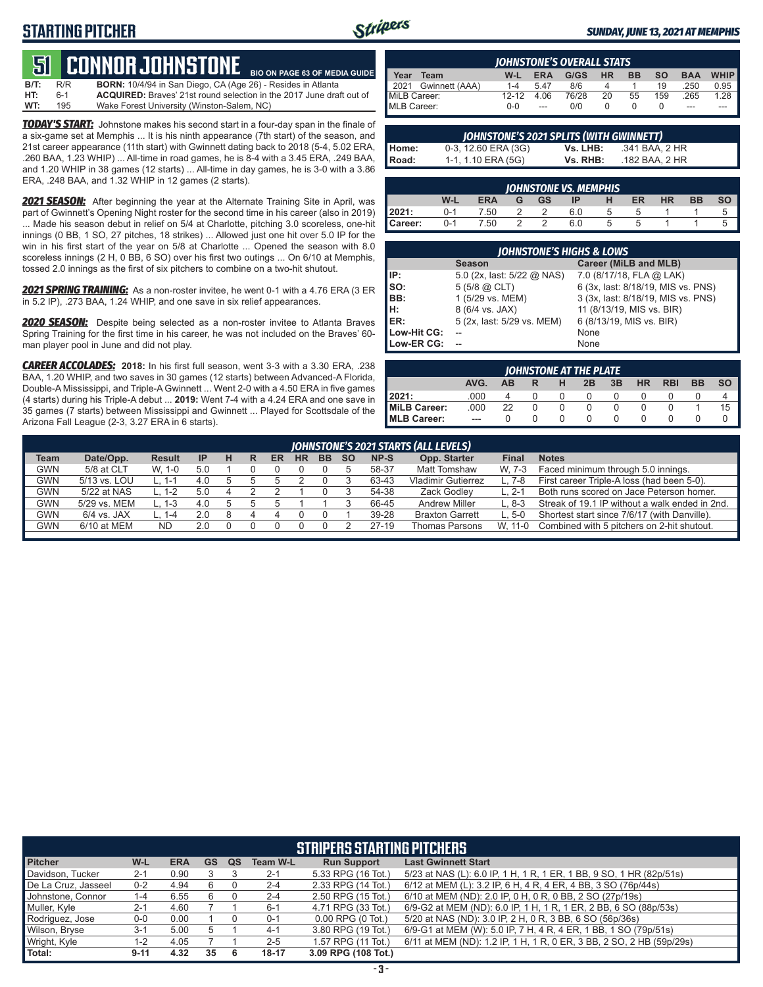# **STARTING PITCHER**



**BIO ON PAGE 63 OF MEDIA GUIDE**

#### *SUNDAY, JUNE 13, 2021 AT MEMPHIS*

# **51****CONNOR JOHNSTONE**

**B/T:** R/R **BORN:** 10/4/94 in San Diego, CA (Age 26) - Resides in Atlanta 6-1 **ACQUIRED:** Braves' 21st round selection in the 2017 June draft out of 195 Wake Forest University (Winston-Salem, NC) **WT:** 195 Wake Forest University (Winston-Salem, NC)

*TODAY'S START:* Johnstone makes his second start in a four-day span in the finale of a six-game set at Memphis ... It is his ninth appearance (7th start) of the season, and 21st career appearance (11th start) with Gwinnett dating back to 2018 (5-4, 5.02 ERA, .260 BAA, 1.23 WHIP) ... All-time in road games, he is 8-4 with a 3.45 ERA, .249 BAA, and 1.20 WHIP in 38 games (12 starts) ... All-time in day games, he is 3-0 with a 3.86 ERA, .248 BAA, and 1.32 WHIP in 12 games (2 starts).

*2021 SEASON:* After beginning the year at the Alternate Training Site in April, was part of Gwinnett's Opening Night roster for the second time in his career (also in 2019) ... Made his season debut in relief on 5/4 at Charlotte, pitching 3.0 scoreless, one-hit innings (0 BB, 1 SO, 27 pitches, 18 strikes) ... Allowed just one hit over 5.0 IP for the win in his first start of the year on 5/8 at Charlotte ... Opened the season with 8.0 scoreless innings (2 H, 0 BB, 6 SO) over his first two outings ... On 6/10 at Memphis, tossed 2.0 innings as the first of six pitchers to combine on a two-hit shutout.

*2021 SPRING TRAINING:* As a non-roster invitee, he went 0-1 with a 4.76 ERA (3 ER in 5.2 IP), .273 BAA, 1.24 WHIP, and one save in six relief appearances.

*2020 SEASON:* Despite being selected as a non-roster invitee to Atlanta Braves Spring Training for the first time in his career, he was not included on the Braves' 60 man player pool in June and did not play.

*CAREER ACCOLADES:* **2018:** In his first full season, went 3-3 with a 3.30 ERA, .238 BAA, 1.20 WHIP, and two saves in 30 games (12 starts) between Advanced-A Florida, Double-A Mississippi, and Triple-A Gwinnett ... Went 2-0 with a 4.50 ERA in five games (4 starts) during his Triple-A debut ... **2019:** Went 7-4 with a 4.24 ERA and one save in 35 games (7 starts) between Mississippi and Gwinnett ... Played for Scottsdale of the Arizona Fall League (2-3, 3.27 ERA in 6 starts).

|                                                                                                          | <b>IOHNSTONE'S OVERALL STATS</b> |         |      |       |    |    |     |      |        |  |  |  |  |
|----------------------------------------------------------------------------------------------------------|----------------------------------|---------|------|-------|----|----|-----|------|--------|--|--|--|--|
| WHIP I<br><b>BAA</b><br><b>SO</b><br>G/GS<br><b>BB</b><br><b>HR</b><br>Year<br><b>ERA</b><br>W-L<br>Team |                                  |         |      |       |    |    |     |      |        |  |  |  |  |
|                                                                                                          | 2021 Gwinnett (AAA)              | $1 - 4$ | 547  | 8/6   |    |    | 19  | .250 | $0.95$ |  |  |  |  |
| MiLB Career:                                                                                             |                                  | $12-12$ | 4.06 | 76/28 | 20 | 55 | 159 | .265 | 1.28   |  |  |  |  |
| MLB Career:                                                                                              |                                  | ი-ი     | $-$  | 0/0   |    |    |     | ---  |        |  |  |  |  |

| JOHNSTONE'S 2021 SPLITS (WITH GWINNETT) |                     |          |                |  |  |  |  |  |  |  |  |
|-----------------------------------------|---------------------|----------|----------------|--|--|--|--|--|--|--|--|
| l Home:                                 | 0-3, 12.60 ERA (3G) | Vs. LHB: | .341 BAA. 2 HR |  |  |  |  |  |  |  |  |
| l Road:                                 | 1-1, 1.10 ERA (5G)  | Vs. RHB: | .182 BAA. 2 HR |  |  |  |  |  |  |  |  |

| <b>JOHNSTONE VS. MEMPHIS</b>                                            |         |      |  |               |     |             |    |  |  |  |  |  |  |
|-------------------------------------------------------------------------|---------|------|--|---------------|-----|-------------|----|--|--|--|--|--|--|
| W-L<br>SO<br><b>ERA</b><br><b>HR</b><br>BB<br><b>GS</b><br>ER<br>G<br>н |         |      |  |               |     |             |    |  |  |  |  |  |  |
| 2021:                                                                   | $0 - 1$ | 7.50 |  |               | 6.0 | $\mathbf b$ |    |  |  |  |  |  |  |
| Career:                                                                 | $0 - 1$ | 7.50 |  | $\mathcal{D}$ | 6.0 | $5^{\circ}$ | G. |  |  |  |  |  |  |

| <b>JOHNSTONE'S HIGHS &amp; LOWS</b> |                              |                                    |  |  |  |  |  |  |  |  |  |
|-------------------------------------|------------------------------|------------------------------------|--|--|--|--|--|--|--|--|--|
|                                     | <b>Season</b>                | Career (MiLB and MLB)              |  |  |  |  |  |  |  |  |  |
| IP:                                 | 5.0 (2x, last: $5/22$ @ NAS) | 7.0 (8/17/18, FLA @ LAK)           |  |  |  |  |  |  |  |  |  |
| Iso:                                | $5(5/8)$ $\omega$ CLT)       | 6 (3x, last: 8/18/19, MIS vs. PNS) |  |  |  |  |  |  |  |  |  |
| BB:                                 | 1 (5/29 vs. MEM)             | 3 (3x, last: 8/18/19, MIS vs. PNS) |  |  |  |  |  |  |  |  |  |
| Iн:                                 | 8 (6/4 vs. JAX)              | 11 (8/13/19, MIS vs. BIR)          |  |  |  |  |  |  |  |  |  |
| <b>IER:</b>                         | 5 (2x, last: 5/29 vs. MEM)   | 6 (8/13/19, MIS vs. BIR)           |  |  |  |  |  |  |  |  |  |
| Low-Hit CG:                         |                              | None                               |  |  |  |  |  |  |  |  |  |
| Low-ER CG:                          |                              | None                               |  |  |  |  |  |  |  |  |  |

| JOHNSTONE AT THE PLATE |         |           |   |   |    |    |           |            |           |           |  |  |  |
|------------------------|---------|-----------|---|---|----|----|-----------|------------|-----------|-----------|--|--|--|
|                        | AVG.    | <b>AB</b> | R | н | 2B | 3B | <b>HR</b> | <b>RBI</b> | <b>BB</b> | <b>SO</b> |  |  |  |
| 12021:                 | .000    |           |   |   |    |    |           |            |           |           |  |  |  |
| MiLB Career:           | .000    | 22        |   |   |    |    |           |            |           | 15        |  |  |  |
| <b>IMLB Career:</b>    | $- - -$ |           |   |   |    |    |           |            |           |           |  |  |  |

| JOHNSTONE'S 2021 STARTS (ALL LEVELS) |               |               |           |   |   |    |           |           |           |       |                           |         |                                                |
|--------------------------------------|---------------|---------------|-----------|---|---|----|-----------|-----------|-----------|-------|---------------------------|---------|------------------------------------------------|
| Team                                 | Date/Opp.     | <b>Result</b> | <b>IP</b> | н | R | ER | <b>HR</b> | <b>BB</b> | <b>SO</b> | NP-S  | Opp. Starter              | Final   | <b>Notes</b>                                   |
| <b>GWN</b>                           | 5/8 at CLT    | $W. 1-0$      | 5.0       |   |   |    |           |           |           | 58-37 | <b>Matt Tomshaw</b>       | W. 7-3  | Faced minimum through 5.0 innings.             |
| GWN                                  | 5/13 vs. LOU  | L. 1-1        | 4.0       |   |   |    |           |           |           | 63-43 | <b>Vladimir Gutierrez</b> | $L.7-8$ | First career Triple-A loss (had been 5-0).     |
| GWN                                  | 5/22 at NAS   | L. 1-2        | 5.0       |   |   |    |           |           |           | 54-38 | Zack Godlev               | L. 2-1  | Both runs scored on Jace Peterson homer.       |
| GWN                                  | 5/29 vs. MEM  | L. 1-3        | 4.0       |   |   |    |           |           |           | 66-45 | <b>Andrew Miller</b>      | $L.8-3$ | Streak of 19.1 IP without a walk ended in 2nd. |
| GWN                                  | $6/4$ vs. JAX | L. 1-4        | 2.0       | 8 |   |    |           |           |           | 39-28 | <b>Braxton Garrett</b>    | L. 5-0  | Shortest start since 7/6/17 (with Danville).   |
| GWN                                  | $6/10$ at MEM | <b>ND</b>     | 2.0       |   |   |    |           |           |           | 27-19 | <b>Thomas Parsons</b>     | W. 11-0 | Combined with 5 pitchers on 2-hit shutout.     |
|                                      |               |               |           |   |   |    |           |           |           |       |                           |         |                                                |

| <b>STRIPERS STARTING PITCHERS</b> |          |            |             |    |                 |                       |                                                                      |  |  |  |  |
|-----------------------------------|----------|------------|-------------|----|-----------------|-----------------------|----------------------------------------------------------------------|--|--|--|--|
| <b>Pitcher</b>                    | W-L      | <b>ERA</b> | <b>GS</b>   | QS | <b>Team W-L</b> | <b>Run Support</b>    | <b>Last Gwinnett Start</b>                                           |  |  |  |  |
| Davidson, Tucker                  | $2 - 1$  | 0.90       |             |    | $2 - 1$         | 5.33 RPG (16 Tot.)    | 5/23 at NAS (L): 6.0 IP, 1 H, 1 R, 1 ER, 1 BB, 9 SO, 1 HR (82p/51s)  |  |  |  |  |
| De La Cruz, Jasseel               | $0 - 2$  | 4.94       |             |    | $2 - 4$         | 2.33 RPG (14 Tot.)    | 6/12 at MEM (L): 3.2 IP, 6 H, 4 R, 4 ER, 4 BB, 3 SO (76p/44s)        |  |  |  |  |
| Johnstone, Connor                 | 1-4      | 6.55       | 6           |    | $2 - 4$         | 2.50 RPG (15 Tot.)    | 6/10 at MEM (ND): 2.0 IP, 0 H, 0 R, 0 BB, 2 SO (27p/19s)             |  |  |  |  |
| Muller, Kyle                      | $2 - 1$  | 4.60       |             |    | $6 - 1$         | 4.71 RPG (33 Tot.)    | 6/9-G2 at MEM (ND): 6.0 IP, 1 H, 1 R, 1 ER, 2 BB, 6 SO (88p/53s)     |  |  |  |  |
| Rodriguez, Jose                   | $0-0$    | 0.00       |             |    | $0 - 1$         | $0.00$ RPG $(0$ Tot.) | 5/20 at NAS (ND): 3.0 IP, 2 H, 0 R, 3 BB, 6 SO (56p/36s)             |  |  |  |  |
| Wilson, Bryse                     | $3-1$    | 5.00       | $\mathbf b$ |    | $4-1$           | 3.80 RPG (19 Tot.)    | 6/9-G1 at MEM (W): 5.0 IP, 7 H, 4 R, 4 ER, 1 BB, 1 SO (79p/51s)      |  |  |  |  |
| Wright, Kyle                      | 1-2      | 4.05       |             |    | $2 - 5$         | 1.57 RPG (11 Tot.)    | 6/11 at MEM (ND): 1.2 IP, 1 H, 1 R, 0 ER, 3 BB, 2 SO, 2 HB (59p/29s) |  |  |  |  |
| Total:                            | $9 - 11$ | 4.32       | 35          | 6  | $18 - 17$       | 3.09 RPG (108 Tot.)   |                                                                      |  |  |  |  |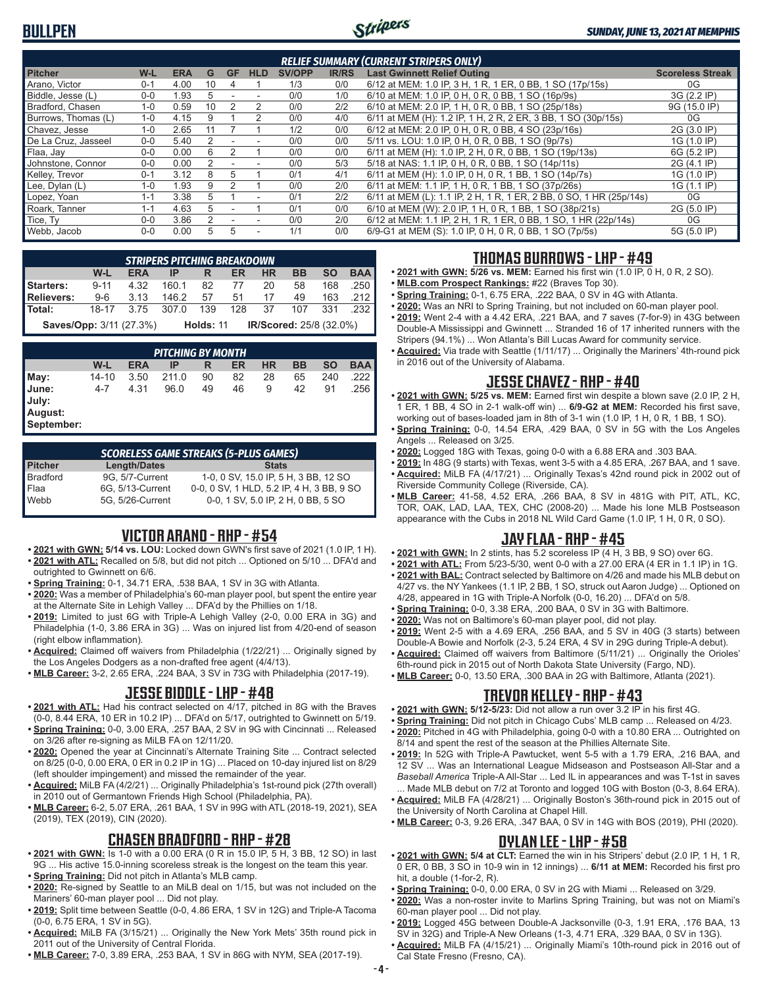# **BULLPEN**



| <b>RELIEF SUMMARY (CURRENT STRIPERS ONLY)</b> |         |            |    |           |            |               |              |                                                                     |                         |  |  |
|-----------------------------------------------|---------|------------|----|-----------|------------|---------------|--------------|---------------------------------------------------------------------|-------------------------|--|--|
| <b>Pitcher</b>                                | W-L     | <b>ERA</b> | G  | <b>GF</b> | <b>HLD</b> | <b>SV/OPP</b> | <b>IR/RS</b> | <b>Last Gwinnett Relief Outing</b>                                  | <b>Scoreless Streak</b> |  |  |
| Arano, Victor                                 | $0 - 1$ | 4.00       | 10 | 4         |            | 1/3           | 0/0          | 6/12 at MEM: 1.0 IP, 3 H, 1 R, 1 ER, 0 BB, 1 SO (17p/15s)           | 0G                      |  |  |
| Biddle, Jesse (L)                             | $0 - 0$ | .93        | .h |           |            | 0/0           | 1/0          | 6/10 at MEM: 1.0 IP, 0 H, 0 R, 0 BB, 1 SO (16p/9s)                  | 3G (2.2 IP)             |  |  |
| Bradford, Chasen                              | $1 - 0$ | 0.59       | 10 |           | 2          | 0/0           | 2/2          | 6/10 at MEM: 2.0 IP, 1 H, 0 R, 0 BB, 1 SO (25p/18s)                 | 9G (15.0 IP)            |  |  |
| Burrows. Thomas (L)                           | $1 - 0$ | 4.15       |    |           |            | 0/0           | 4/0          | 6/11 at MEM (H): 1.2 IP, 1 H, 2 R, 2 ER, 3 BB, 1 SO (30p/15s)       | 0G                      |  |  |
| Chavez, Jesse                                 | $1 - 0$ | 2.65       |    |           |            | 1/2           | 0/0          | 6/12 at MEM: 2.0 IP, 0 H, 0 R, 0 BB, 4 SO (23p/16s)                 | 2G (3.0 IP)             |  |  |
| De La Cruz. Jasseel                           | $0 - 0$ | 5.40       |    |           |            | 0/0           | 0/0          | 5/11 vs. LOU: 1.0 IP, 0 H, 0 R, 0 BB, 1 SO (9p/7s)                  | 1G (1.0 IP)             |  |  |
| Flaa, Jay                                     | $0 - 0$ | 0.00       | ี  |           |            | 0/0           | 0/0          | 6/11 at MEM (H): 1.0 IP, 2 H, 0 R, 0 BB, 1 SO (19p/13s)             | 6G (5.2 IP)             |  |  |
| Johnstone, Connor                             | $0 - 0$ | 0.00       |    |           |            | 0/0           | 5/3          | 5/18 at NAS: 1.1 IP, 0 H, 0 R, 0 BB, 1 SO (14p/11s)                 | 2G (4.1 IP)             |  |  |
| Kelley, Trevor                                | $0 - 1$ | 3.12       | 8  |           |            | 0/1           | 4/1          | 6/11 at MEM (H): 1.0 IP, 0 H, 0 R, 1 BB, 1 SO (14p/7s)              | 1G (1.0 IP)             |  |  |
| Lee, Dylan (L)                                | $1 - 0$ | .93        | 9  |           |            | 0/0           | 2/0          | 6/11 at MEM: 1.1 IP, 1 H, 0 R, 1 BB, 1 SO (37p/26s)                 | 1G (1.1 IP)             |  |  |
| Lopez, Yoan                                   | $1 - 1$ | 3.38       | 5  |           | ٠          | 0/1           | 2/2          | 6/11 at MEM (L): 1.1 IP, 2 H, 1 R, 1 ER, 2 BB, 0 SO, 1 HR (25p/14s) | 0G                      |  |  |
| Roark, Tanner                                 | $1 - 1$ | 4.63       | 5  |           |            | 0/1           | 0/0          | 6/10 at MEM (W): 2.0 IP, 1 H, 0 R, 1 BB, 1 SO (38p/21s)             | 2G (5.0 IP)             |  |  |
| Tice, Ty                                      | $0 - 0$ | 3.86       |    |           |            | 0/0           | 2/0          | 6/12 at MEM: 1.1 IP, 2 H, 1 R, 1 ER, 0 BB, 1 SO, 1 HR (22p/14s)     | 0G                      |  |  |
| Webb, Jacob                                   | $0 - 0$ | 0.00       | 5. | 5         | ۰          | 1/1           | 0/0          | 6/9-G1 at MEM (S): 1.0 IP, 0 H, 0 R, 0 BB, 1 SO (7p/5s)             | 5G (5.0 IP)             |  |  |

|                                                           | <b>STRIPERS PITCHING BREAKDOWN</b> |            |  |         |  |           |           |           |               |  |  |  |  |
|-----------------------------------------------------------|------------------------------------|------------|--|---------|--|-----------|-----------|-----------|---------------|--|--|--|--|
|                                                           | W-L                                | <b>ERA</b> |  | IP R ER |  | <b>HR</b> | <b>BB</b> | <b>SO</b> | <b>BAA</b>    |  |  |  |  |
| <b>Starters:</b> 9-11 4.32 160.1 82 77 20                 |                                    |            |  |         |  |           |           |           | 58  168  .250 |  |  |  |  |
| <b>Relievers:</b>                                         | 9-6 3.13 146.2 57 51 17 49 163 212 |            |  |         |  |           |           |           |               |  |  |  |  |
| <b>Total:</b> 18-17 3.75 307.0 139 128 37 107 331 232     |                                    |            |  |         |  |           |           |           |               |  |  |  |  |
| Saves/Opp: 3/11 (27.3%) Holds: 11 IR/Scored: 25/8 (32.0%) |                                    |            |  |         |  |           |           |           |               |  |  |  |  |

| <b>PITCHING BY MONTH</b>                |       |            |       |    |    |           |    |           |            |  |  |
|-----------------------------------------|-------|------------|-------|----|----|-----------|----|-----------|------------|--|--|
|                                         | W-L   | <b>ERA</b> | IP    | R  | ER | <b>HR</b> | BB | <b>SO</b> | <b>BAA</b> |  |  |
| May:                                    | 14-10 | 3.50       | 211.0 | 90 | 82 | 28        | 65 | 240       | .222       |  |  |
| June:<br>July:<br>August:<br>September: | 4-7   | 4.31       | 96.0  | 49 | 46 | 9         | 42 | 91        | .256       |  |  |

*SCORELESS GAME STREAKS (5-PLUS GAMES)* **Pitcher <b>Length/Dates Stats**<br>Bradford 9G. 5/7-Current 1-0. 0 SV. 15.0 IP. 51 9G, 5/7-Current 1-0, 0 SV, 15.0 IP, 5 H, 3 BB, 12 SO Flaa 6G, 5/13-Current 0-0, 0 SV, 1 HLD, 5.2 IP, 4 H, 3 BB, 9 SO Webb 5G, 5/26-Current 0-0, 1 SV, 5.0 IP, 2 H, 0 BB, 5 SO

## **VICTOR ARANO - RHP - #54**

- **• 2021 with GWN: 5/14 vs. LOU:** Locked down GWN's first save of 2021 (1.0 IP, 1 H). **• 2021 with ATL:** Recalled on 5/8, but did not pitch ... Optioned on 5/10 ... DFA'd and
- outrighted to Gwinnett on 6/6.
- **• Spring Training:** 0-1, 34.71 ERA, .538 BAA, 1 SV in 3G with Atlanta.
- **• 2020:** Was a member of Philadelphia's 60-man player pool, but spent the entire year at the Alternate Site in Lehigh Valley ... DFA'd by the Phillies on 1/18.
- **• 2019:** Limited to just 6G with Triple-A Lehigh Valley (2-0, 0.00 ERA in 3G) and Philadelphia (1-0, 3.86 ERA in 3G) ... Was on injured list from 4/20-end of season (right elbow inflammation).
- **• Acquired:** Claimed off waivers from Philadelphia (1/22/21) ... Originally signed by the Los Angeles Dodgers as a non-drafted free agent (4/4/13).
- **• MLB Career:** 3-2, 2.65 ERA, .224 BAA, 3 SV in 73G with Philadelphia (2017-19).

#### **JESSE BIDDLE - LHP - #48**

- **• 2021 with ATL:** Had his contract selected on 4/17, pitched in 8G with the Braves (0-0, 8.44 ERA, 10 ER in 10.2 IP) ... DFA'd on 5/17, outrighted to Gwinnett on 5/19.
- **• Spring Training:** 0-0, 3.00 ERA, .257 BAA, 2 SV in 9G with Cincinnati ... Released on 3/26 after re-signing as MiLB FA on 12/11/20.
- **• 2020:** Opened the year at Cincinnati's Alternate Training Site ... Contract selected on 8/25 (0-0, 0.00 ERA, 0 ER in 0.2 IP in 1G) ... Placed on 10-day injured list on 8/29 (left shoulder impingement) and missed the remainder of the year.
- **• Acquired:** MiLB FA (4/2/21) ... Originally Philadelphia's 1st-round pick (27th overall) in 2010 out of Germantown Friends High School (Philadelphia, PA).
- **• MLB Career:** 6-2, 5.07 ERA, .261 BAA, 1 SV in 99G with ATL (2018-19, 2021), SEA (2019), TEX (2019), CIN (2020).

#### **CHASEN BRADFORD - RHP - #28**

- **• 2021 with GWN:** Is 1-0 with a 0.00 ERA (0 R in 15.0 IP, 5 H, 3 BB, 12 SO) in last 9G ... His active 15.0-inning scoreless streak is the longest on the team this year.
- **• Spring Training:** Did not pitch in Atlanta's MLB camp.
- **• 2020:** Re-signed by Seattle to an MiLB deal on 1/15, but was not included on the Mariners' 60-man player pool ... Did not play.
- **• 2019:** Split time between Seattle (0-0, 4.86 ERA, 1 SV in 12G) and Triple-A Tacoma (0-0, 6.75 ERA, 1 SV in 5G).
- **• Acquired:** MiLB FA (3/15/21) ... Originally the New York Mets' 35th round pick in 2011 out of the University of Central Florida.
- **• MLB Career:** 7-0, 3.89 ERA, .253 BAA, 1 SV in 86G with NYM, SEA (2017-19).

## **THOMAS BURROWS - LHP - #49**

- **• 2021 with GWN: 5/26 vs. MEM:** Earned his first win (1.0 IP, 0 H, 0 R, 2 SO).
- **• MLB.com Prospect Rankings:** #22 (Braves Top 30).
- **• Spring Training:** 0-1, 6.75 ERA, .222 BAA, 0 SV in 4G with Atlanta.
- **• 2020:** Was an NRI to Spring Training, but not included on 60-man player pool. **• 2019:** Went 2-4 with a 4.42 ERA, .221 BAA, and 7 saves (7-for-9) in 43G between
- Double-A Mississippi and Gwinnett ... Stranded 16 of 17 inherited runners with the Stripers (94.1%) ... Won Atlanta's Bill Lucas Award for community service.
- **• Acquired:** Via trade with Seattle (1/11/17) ... Originally the Mariners' 4th-round pick in 2016 out of the University of Alabama.

## **JESSE CHAVEZ - RHP - #40**

- **• 2021 with GWN: 5/25 vs. MEM:** Earned first win despite a blown save (2.0 IP, 2 H, 1 ER, 1 BB, 4 SO in 2-1 walk-off win) ... **6/9-G2 at MEM:** Recorded his first save, working out of bases-loaded jam in 8th of 3-1 win (1.0 IP, 1 H, 0 R, 1 BB, 1 SO).
- **• Spring Training:** 0-0, 14.54 ERA, .429 BAA, 0 SV in 5G with the Los Angeles Angels ... Released on 3/25.
- **• 2020:** Logged 18G with Texas, going 0-0 with a 6.88 ERA and .303 BAA.
- **• 2019:** In 48G (9 starts) with Texas, went 3-5 with a 4.85 ERA, .267 BAA, and 1 save. **• Acquired:** MiLB FA (4/17/21) ... Originally Texas's 42nd round pick in 2002 out of
- Riverside Community College (Riverside, CA). **• MLB Career:** 41-58, 4.52 ERA, .266 BAA, 8 SV in 481G with PIT, ATL, KC, TOR, OAK, LAD, LAA, TEX, CHC (2008-20) ... Made his lone MLB Postseason appearance with the Cubs in 2018 NL Wild Card Game (1.0 IP, 1 H, 0 R, 0 SO).

## **JAY FLAA - RHP - #45**

- **• 2021 with GWN:** In 2 stints, has 5.2 scoreless IP (4 H, 3 BB, 9 SO) over 6G.
- **• 2021 with ATL:** From 5/23-5/30, went 0-0 with a 27.00 ERA (4 ER in 1.1 IP) in 1G.
- **• 2021 with BAL:** Contract selected by Baltimore on 4/26 and made his MLB debut on 4/27 vs. the NY Yankees (1.1 IP, 2 BB, 1 SO, struck out Aaron Judge) ... Optioned on 4/28, appeared in 1G with Triple-A Norfolk (0-0, 16.20) ... DFA'd on 5/8.
- **• Spring Training:** 0-0, 3.38 ERA, .200 BAA, 0 SV in 3G with Baltimore.
- **• 2020:** Was not on Baltimore's 60-man player pool, did not play.
- **• 2019:** Went 2-5 with a 4.69 ERA, .256 BAA, and 5 SV in 40G (3 starts) between Double-A Bowie and Norfolk (2-3, 5.24 ERA, 4 SV in 29G during Triple-A debut).
- **• Acquired:** Claimed off waivers from Baltimore (5/11/21) ... Originally the Orioles' 6th-round pick in 2015 out of North Dakota State University (Fargo, ND).
	- **• MLB Career:** 0-0, 13.50 ERA, .300 BAA in 2G with Baltimore, Atlanta (2021).

#### **TREVOR KELLEY - RHP - #43**

- **• 2021 with GWN: 5/12-5/23:** Did not allow a run over 3.2 IP in his first 4G.
- **• Spring Training:** Did not pitch in Chicago Cubs' MLB camp ... Released on 4/23.
- **• 2020:** Pitched in 4G with Philadelphia, going 0-0 with a 10.80 ERA ... Outrighted on 8/14 and spent the rest of the season at the Phillies Alternate Site.
- **• 2019:** In 52G with Triple-A Pawtucket, went 5-5 with a 1.79 ERA, .216 BAA, and 12 SV ... Was an International League Midseason and Postseason All-Star and a *Baseball America* Triple-A All-Star ... Led IL in appearances and was T-1st in saves ... Made MLB debut on 7/2 at Toronto and logged 10G with Boston (0-3, 8.64 ERA).
- **• Acquired:** MiLB FA (4/28/21) ... Originally Boston's 36th-round pick in 2015 out of the University of North Carolina at Chapel Hill.
- **• MLB Career:** 0-3, 9.26 ERA, .347 BAA, 0 SV in 14G with BOS (2019), PHI (2020).

## **DYLAN LEE - LHP - #58**

- **• 2021 with GWN: 5/4 at CLT:** Earned the win in his Stripers' debut (2.0 IP, 1 H, 1 R, 0 ER, 0 BB, 3 SO in 10-9 win in 12 innings) ... **6/11 at MEM:** Recorded his first pro hit, a double (1-for-2, R).
- **• Spring Training:** 0-0, 0.00 ERA, 0 SV in 2G with Miami ... Released on 3/29.
- **• 2020:** Was a non-roster invite to Marlins Spring Training, but was not on Miami's 60-man player pool ... Did not play.
- **• 2019:** Logged 45G between Double-A Jacksonville (0-3, 1.91 ERA, .176 BAA, 13 SV in 32G) and Triple-A New Orleans (1-3, 4.71 ERA, .329 BAA, 0 SV in 13G).
- **• Acquired:** MiLB FA (4/15/21) ... Originally Miami's 10th-round pick in 2016 out of Cal State Fresno (Fresno, CA).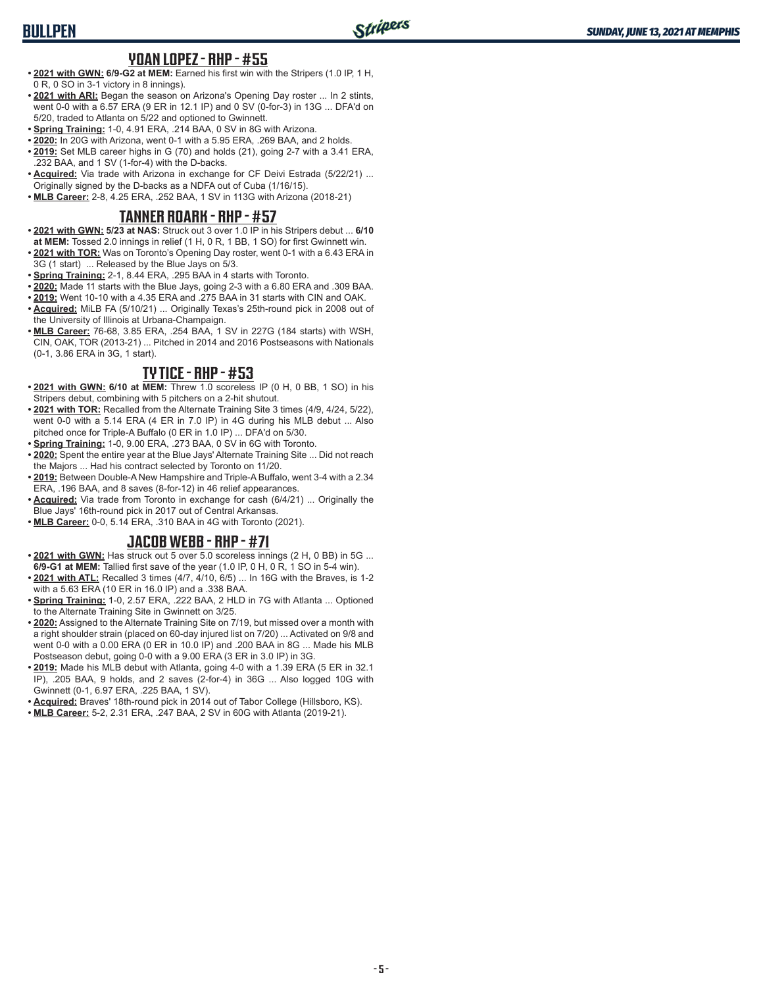# **YOAN LOPEZ - RHP - #55**

- **• 2021 with GWN: 6/9-G2 at MEM:** Earned his first win with the Stripers (1.0 IP, 1 H, 0 R, 0 SO in 3-1 victory in 8 innings).
- **• 2021 with ARI:** Began the season on Arizona's Opening Day roster ... In 2 stints, went 0-0 with a 6.57 ERA (9 ER in 12.1 IP) and 0 SV (0-for-3) in 13G ... DFA'd on 5/20, traded to Atlanta on 5/22 and optioned to Gwinnett.
- **• Spring Training:** 1-0, 4.91 ERA, .214 BAA, 0 SV in 8G with Arizona.
- **• 2020:** In 20G with Arizona, went 0-1 with a 5.95 ERA, .269 BAA, and 2 holds.
- **• 2019:** Set MLB career highs in G (70) and holds (21), going 2-7 with a 3.41 ERA, .232 BAA, and 1 SV (1-for-4) with the D-backs.
- **• Acquired:** Via trade with Arizona in exchange for CF Deivi Estrada (5/22/21) ... Originally signed by the D-backs as a NDFA out of Cuba (1/16/15).
- **• MLB Career:** 2-8, 4.25 ERA, .252 BAA, 1 SV in 113G with Arizona (2018-21)

## **TANNER ROARK - RHP - #57**

- **• 2021 with GWN: 5/23 at NAS:** Struck out 3 over 1.0 IP in his Stripers debut ... **6/10**
- **at MEM:** Tossed 2.0 innings in relief (1 H, 0 R, 1 BB, 1 SO) for first Gwinnett win. **• 2021 with TOR:** Was on Toronto's Opening Day roster, went 0-1 with a 6.43 ERA in
- 3G (1 start) ... Released by the Blue Jays on 5/3.
- **• Spring Training:** 2-1, 8.44 ERA, .295 BAA in 4 starts with Toronto.
- **• 2020:** Made 11 starts with the Blue Jays, going 2-3 with a 6.80 ERA and .309 BAA. **• 2019:** Went 10-10 with a 4.35 ERA and .275 BAA in 31 starts with CIN and OAK.
- **• Acquired:** MiLB FA (5/10/21) ... Originally Texas's 25th-round pick in 2008 out of the University of Illinois at Urbana-Champaign.
- **• MLB Career:** 76-68, 3.85 ERA, .254 BAA, 1 SV in 227G (184 starts) with WSH, CIN, OAK, TOR (2013-21) ... Pitched in 2014 and 2016 Postseasons with Nationals (0-1, 3.86 ERA in 3G, 1 start).

#### **TY TICE - RHP - #53**

- **• 2021 with GWN: 6/10 at MEM:** Threw 1.0 scoreless IP (0 H, 0 BB, 1 SO) in his Stripers debut, combining with 5 pitchers on a 2-hit shutout.
- **• 2021 with TOR:** Recalled from the Alternate Training Site 3 times (4/9, 4/24, 5/22), went 0-0 with a 5.14 ERA (4 ER in 7.0 IP) in 4G during his MLB debut ... Also pitched once for Triple-A Buffalo (0 ER in 1.0 IP) ... DFA'd on 5/30.
- **• Spring Training:** 1-0, 9.00 ERA, .273 BAA, 0 SV in 6G with Toronto.
- **• 2020:** Spent the entire year at the Blue Jays' Alternate Training Site ... Did not reach the Majors ... Had his contract selected by Toronto on 11/20.
- **• 2019:** Between Double-A New Hampshire and Triple-A Buffalo, went 3-4 with a 2.34 ERA, .196 BAA, and 8 saves (8-for-12) in 46 relief appearances.
- **• Acquired:** Via trade from Toronto in exchange for cash (6/4/21) ... Originally the Blue Jays' 16th-round pick in 2017 out of Central Arkansas.
- **• MLB Career:** 0-0, 5.14 ERA, .310 BAA in 4G with Toronto (2021).

## **JACOB WEBB - RHP - #71**

- **• 2021 with GWN:** Has struck out 5 over 5.0 scoreless innings (2 H, 0 BB) in 5G ... **6/9-G1 at MEM:** Tallied first save of the year (1.0 IP, 0 H, 0 R, 1 SO in 5-4 win).
- **• 2021 with ATL:** Recalled 3 times (4/7, 4/10, 6/5) ... In 16G with the Braves, is 1-2 with a 5.63 ERA (10 ER in 16.0 IP) and a .338 BAA.
- **• Spring Training:** 1-0, 2.57 ERA, .222 BAA, 2 HLD in 7G with Atlanta ... Optioned to the Alternate Training Site in Gwinnett on 3/25.
- **• 2020:** Assigned to the Alternate Training Site on 7/19, but missed over a month with a right shoulder strain (placed on 60-day injured list on 7/20) ... Activated on 9/8 and went 0-0 with a 0.00 ERA (0 ER in 10.0 IP) and .200 BAA in 8G ... Made his MLB Postseason debut, going 0-0 with a 9.00 ERA (3 ER in 3.0 IP) in 3G.
- **• 2019:** Made his MLB debut with Atlanta, going 4-0 with a 1.39 ERA (5 ER in 32.1 IP), .205 BAA, 9 holds, and 2 saves (2-for-4) in 36G ... Also logged 10G with Gwinnett (0-1, 6.97 ERA, .225 BAA, 1 SV).
- **• Acquired:** Braves' 18th-round pick in 2014 out of Tabor College (Hillsboro, KS).
- **• MLB Career:** 5-2, 2.31 ERA, .247 BAA, 2 SV in 60G with Atlanta (2019-21).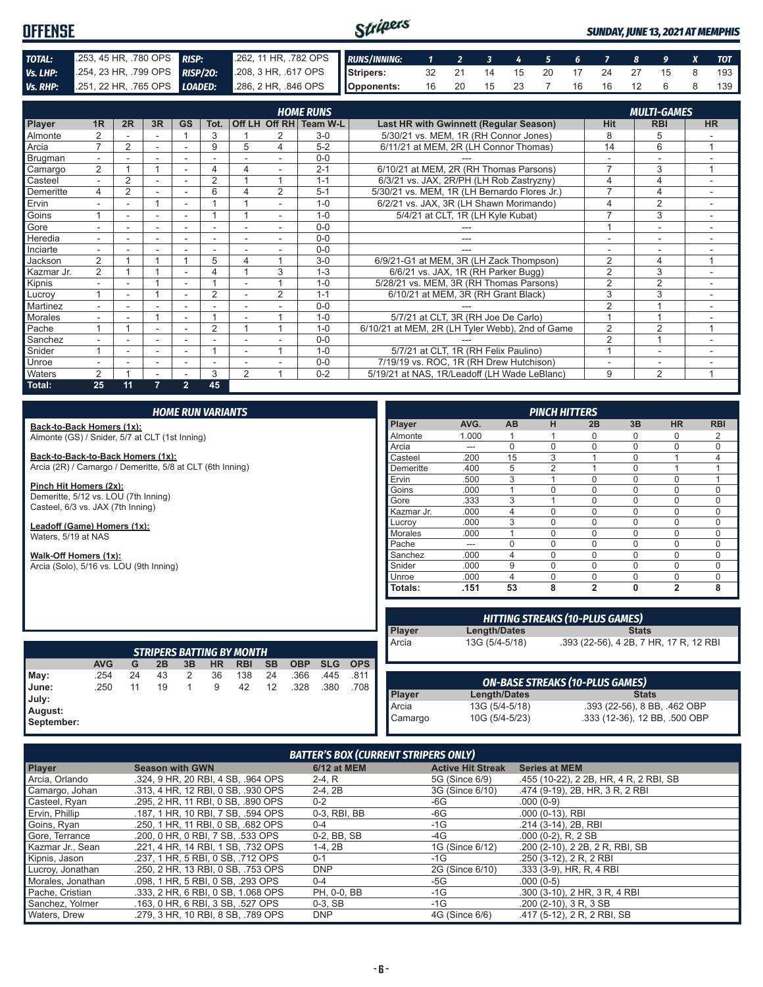#### Stripers **OFFENSE** *SUNDAY, JUNE 13, 2021 AT MEMPHIS TOTAL:* .253, 45 HR, .780 OPS *RISP:* .262, 11 HR, .782 OPS *RUNS/INNING: 1 2 3 4 5 6 7 8 9 X TOT Vs. LHP:* .254, 23 HR, .799 OPS *RISP/2O:* .208, 3 HR, .617 OPS **Stripers:** 32 21 14 15 20 17 24 27 15 8 193 *Vs. RHP:* .251, 22 HR, .765 OPS *LOADED:* .286, 2 HR, .846 OPS **Opponents:** 16 20 15 23 7 16 16 12 6 8 139

|               |                          |                |    |                |                          |                |                | <b>HOME RUNS</b>       |                                                 |                         | <b>MULTI-GAMES</b>       |           |
|---------------|--------------------------|----------------|----|----------------|--------------------------|----------------|----------------|------------------------|-------------------------------------------------|-------------------------|--------------------------|-----------|
| <b>Player</b> | 1 <sub>R</sub>           | 2R             | 3R | <b>GS</b>      | Tot.                     |                |                | Off LH Off RH Team W-L | <b>Last HR with Gwinnett (Regular Season)</b>   | Hit                     | <b>RBI</b>               | <b>HR</b> |
| Almonte       |                          |                |    |                | 3                        |                |                | $3-0$                  | 5/30/21 vs. MEM, 1R (RH Connor Jones)           | 8                       | 5                        |           |
| Arcia         | $\overline{ }$           | $\overline{2}$ |    |                | 9                        | 5              | 4              | $5 - 2$                | 6/11/21 at MEM, 2R (LH Connor Thomas)           | 14                      | 6                        | и         |
| Brugman       |                          |                |    |                |                          |                |                | $0 - 0$                |                                                 |                         |                          |           |
| Camargo       | $\overline{2}$           |                |    |                | 4                        | 4              |                | $2 - 1$                | 6/10/21 at MEM, 2R (RH Thomas Parsons)          | $\overline{7}$          | 3                        | 4         |
| Casteel       |                          | $\overline{2}$ |    |                | $\overline{2}$           |                |                | $1 - 1$                | 6/3/21 vs. JAX, 2R/PH (LH Rob Zastryzny)        |                         |                          |           |
| Demeritte     | 4                        | $\overline{2}$ |    | ٠              | 6                        |                | 2              | $5 - 1$                | 5/30/21 vs. MEM, 1R (LH Bernardo Flores Jr.)    | 7                       | 4                        | ٠         |
| Ervin         | $\overline{\phantom{a}}$ |                |    | ۰              |                          |                |                | $1 - 0$                | 6/2/21 vs. JAX, 3R (LH Shawn Morimando)         | 4                       | $\overline{2}$           |           |
| Goins         |                          |                | ۰  |                |                          |                |                | $1 - 0$                | 5/4/21 at CLT, 1R (LH Kyle Kubat)               |                         | 3                        |           |
| Gore          |                          |                | ۰  | ۰              | $\overline{\phantom{a}}$ |                |                | $0 - 0$                |                                                 |                         | $\overline{\phantom{a}}$ | ٠         |
| Heredia       |                          |                | ۰  | ۰              |                          |                |                | $0 - 0$                | ---                                             |                         | ٠                        |           |
| Inciarte      |                          |                |    |                |                          |                |                | $0 - 0$                |                                                 |                         |                          |           |
| Jackson       | 2                        |                |    |                | 5                        | 4              |                | $3-0$                  | 6/9/21-G1 at MEM, 3R (LH Zack Thompson)         | $\overline{2}$          | 4                        | 1         |
| Kazmar Jr.    | $\overline{2}$           |                |    |                | 4                        |                | 3              | $1 - 3$                | 6/6/21 vs. JAX, 1R (RH Parker Bugg)             | $\overline{2}$          | 3                        |           |
| Kipnis        |                          |                |    |                |                          |                |                | $1 - 0$                | 5/28/21 vs. MEM, 3R (RH Thomas Parsons)         | $\overline{2}$          | $\overline{2}$           |           |
| Lucroy        |                          |                |    |                | $\overline{2}$           |                | $\overline{2}$ | $1 - 1$                | 6/10/21 at MEM, 3R (RH Grant Black)             | 3                       | 3                        |           |
| Martinez      |                          |                |    | ۰              |                          |                |                | $0 - 0$                |                                                 | $\overline{2}$          |                          |           |
| Morales       |                          |                |    | ۰              |                          |                |                | $1 - 0$                | 5/7/21 at CLT, 3R (RH Joe De Carlo)             |                         |                          |           |
| Pache         |                          |                |    |                | $\overline{2}$           |                | и              | $1 - 0$                | 6/10/21 at MEM, 2R (LH Tyler Webb), 2nd of Game | $\overline{2}$          | $\overline{2}$           | 4         |
| Sanchez       |                          |                | ۰  |                |                          |                |                | $0 - 0$                |                                                 | 2                       |                          |           |
| Snider        |                          |                | ۰  | ۰              |                          | ٠              | и              | $1 - 0$                | 5/7/21 at CLT, 1R (RH Felix Paulino)            | $\overline{\mathbf{A}}$ | $\overline{\phantom{a}}$ |           |
| Unroe         |                          |                | ٠  | ٠              | $\overline{\phantom{a}}$ |                |                | $0 - 0$                | 7/19/19 vs. ROC, 1R (RH Drew Hutchison)         |                         | -                        |           |
| Waters        | $\overline{2}$           |                |    |                | 3                        | $\overline{2}$ | 4              | $0 - 2$                | 5/19/21 at NAS, 1R/Leadoff (LH Wade LeBlanc)    | 9                       | $\overline{2}$           | 1         |
| Total:        | 25                       | 11             | 7  | $\overline{2}$ | 45                       |                |                |                        |                                                 |                         |                          |           |

|  | <b>HOME RUN VARIANTS</b> |  |  |
|--|--------------------------|--|--|
|  |                          |  |  |

**Back-to-Back Homers (1x):** Almonte (GS) / Snider, 5/7 at CLT (1st Inning)

**Back-to-Back-to-Back Homers (1x):** Arcia (2R) / Camargo / Demeritte, 5/8 at CLT (6th Inning)

**Pinch Hit Homers (2x):**

Demeritte, 5/12 vs. LOU (7th Inning) Casteel, 6/3 vs. JAX (7th Inning)

**Leadoff (Game) Homers (1x):** Waters, 5/19 at NAS

**Walk-Off Homers (1x):**

Arcia (Solo), 5/16 vs. LOU (9th Inning)

|                |       |    | <b>PINCH HITTERS</b> |                |          |                |            |
|----------------|-------|----|----------------------|----------------|----------|----------------|------------|
| Player         | AVG.  | AB | н                    | 2B             | 3B       | <b>HR</b>      | <b>RBI</b> |
| Almonte        | 1.000 | 1  |                      | 0              | 0        | 0              | 2          |
| Arcia          | ---   | በ  | $\Omega$             | 0              | U        | 0              | $\Omega$   |
| Casteel        | .200  | 15 | 3                    | 1              | 0        | 4              | 4          |
| Demeritte      | .400  | 5  | $\overline{2}$       | 1              | 0        | 4              | ٠          |
| Ervin          | .500  | 3  | 4                    | $\Omega$       | 0        | $\mathbf 0$    | 4          |
| Goins          | .000  |    | $\Omega$             | $\Omega$       | 0        | $\mathbf 0$    | $\Omega$   |
| Gore           | .333  | 3  |                      | 0              | 0        | $\mathbf 0$    | O          |
| Kazmar Jr.     | .000  | 4  | $\Omega$             | 0              | $\Omega$ | $\Omega$       | O          |
| Lucrov         | .000  | 3  | $\Omega$             | 0              | 0        | $\mathbf 0$    | $\Omega$   |
| <b>Morales</b> | .000  |    | $\Omega$             | $\Omega$       | $\Omega$ | $\Omega$       | $\Omega$   |
| Pache          | ---   | 0  | $\Omega$             | 0              | $\Omega$ | $\mathbf 0$    | $\Omega$   |
| Sanchez        | .000  | 4  | $\Omega$             | 0              | 0        | $\mathbf 0$    | $\Omega$   |
| Snider         | .000  | 9  | $\Omega$             | 0              | N        | $\mathbf 0$    | O          |
| Unroe          | .000  | 4  | $\Omega$             | $\Omega$       | O        | $\mathbf 0$    | $\Omega$   |
| Totals:        | .151  | 53 | 8                    | $\overline{2}$ | 0        | $\overline{2}$ | 8          |

| <b>STRIPERS BATTING BY MONTH</b>                |            |    |    |    |           |            |                   |            |            |            |
|-------------------------------------------------|------------|----|----|----|-----------|------------|-------------------|------------|------------|------------|
|                                                 | <b>AVG</b> | G  | 2B | 3B | <b>HR</b> | <b>RBI</b> | <b>SB</b>         | <b>OBP</b> | <b>SLG</b> | <b>OPS</b> |
|                                                 | .254       | 24 | 43 | 2  | 36        | 138        | 24                | .366       | .445       | .811       |
|                                                 | .250       | 11 | 19 |    | 9         | 42         | $12 \overline{ }$ | .328       | .380       | .708       |
| May:<br>June:<br>July:<br>August:<br>September: |            |    |    |    |           |            |                   |            |            |            |

| <b>HITTING STREAKS (10-PLUS GAMES)</b> |                     |                                        |  |  |  |
|----------------------------------------|---------------------|----------------------------------------|--|--|--|
| Player<br>Arcia                        | <b>Length/Dates</b> | <b>Stats</b>                           |  |  |  |
|                                        | 13G (5/4-5/18)      | .393 (22-56), 4 2B, 7 HR, 17 R, 12 RBI |  |  |  |
|                                        |                     |                                        |  |  |  |
|                                        |                     |                                        |  |  |  |

| <b>ON-BASE STREAKS (10-PLUS GAMES)</b> |                |                               |  |  |  |
|----------------------------------------|----------------|-------------------------------|--|--|--|
|                                        | Length/Dates   | <b>Stats</b>                  |  |  |  |
|                                        | 13G (5/4-5/18) | .393 (22-56), 8 BB, .462 OBP  |  |  |  |
| Player<br>Arcia<br>Camargo             | 10G (5/4-5/23) | .333 (12-36), 12 BB, .500 OBP |  |  |  |

#### *BATTER'S BOX (CURRENT STRIPERS ONLY)*

| <b>Player</b>     | <b>Season with GWN</b>             | 6/12 at MEM  | <b>Active Hit Streak</b> | <b>Series at MEM</b>                   |
|-------------------|------------------------------------|--------------|--------------------------|----------------------------------------|
| Arcia, Orlando    | .324, 9 HR, 20 RBI, 4 SB, .964 OPS | $2-4. R$     | 5G (Since 6/9)           | .455 (10-22), 2 2B, HR, 4 R, 2 RBI, SB |
| Camargo, Johan    | .313, 4 HR, 12 RBI, 0 SB, .930 OPS | $2-4, 2B$    | 3G (Since 6/10)          | .474 (9-19), 2B, HR, 3 R, 2 RBI        |
| Casteel, Ryan     | .295, 2 HR, 11 RBI, 0 SB, .890 OPS | $0 - 2$      | -6G                      | $.000(0-9)$                            |
| Ervin, Phillip    | .187, 1 HR, 10 RBI, 7 SB, .594 OPS | 0-3, RBI, BB | -6G                      | $.000(0-13)$ , RBI                     |
| Goins, Ryan       | .250. 1 HR. 11 RBI. 0 SB. .682 OPS | $0 - 4$      | $-1G$                    | .214 (3-14), 2B, RBI                   |
| Gore, Terrance    | .200. 0 HR. 0 RBI. 7 SB. .533 OPS  | 0-2, BB, SB  | -4G                      | $.000(0-2)$ , R, 2 SB                  |
| Kazmar Jr., Sean  | .221, 4 HR, 14 RBI, 1 SB, .732 OPS | $1-4.2B$     | 1G (Since 6/12)          | .200 (2-10), 2 2B, 2 R, RBI, SB        |
| Kipnis, Jason     | .237, 1 HR, 5 RBI, 0 SB, .712 OPS  | $0 - 1$      | -1G                      | .250 (3-12), 2 R, 2 RBI                |
| Lucroy, Jonathan  | .250, 2 HR, 13 RBI, 0 SB, .753 OPS | <b>DNP</b>   | 2G (Since 6/10)          | $.333(3-9)$ , HR, R, 4 RBI             |
| Morales, Jonathan | .098, 1 HR, 5 RBI, 0 SB, .293 OPS  | $0 - 4$      | -5G                      | $.000(0-5)$                            |
| Pache, Cristian   | .333, 2 HR, 6 RBI, 0 SB, 1.068 OPS | PH, 0-0, BB  | -1G                      | .300 (3-10), 2 HR, 3 R, 4 RBI          |
| Sanchez, Yolmer   | .163, 0 HR, 6 RBI, 3 SB, .527 OPS  | $0-3.$ SB    | $-1G$                    | $.200$ (2-10), 3 R, 3 SB               |
| Waters, Drew      | .279. 3 HR. 10 RBI. 8 SB. .789 OPS | <b>DNP</b>   | 4G (Since 6/6)           | .417 (5-12), 2 R, 2 RBI, SB            |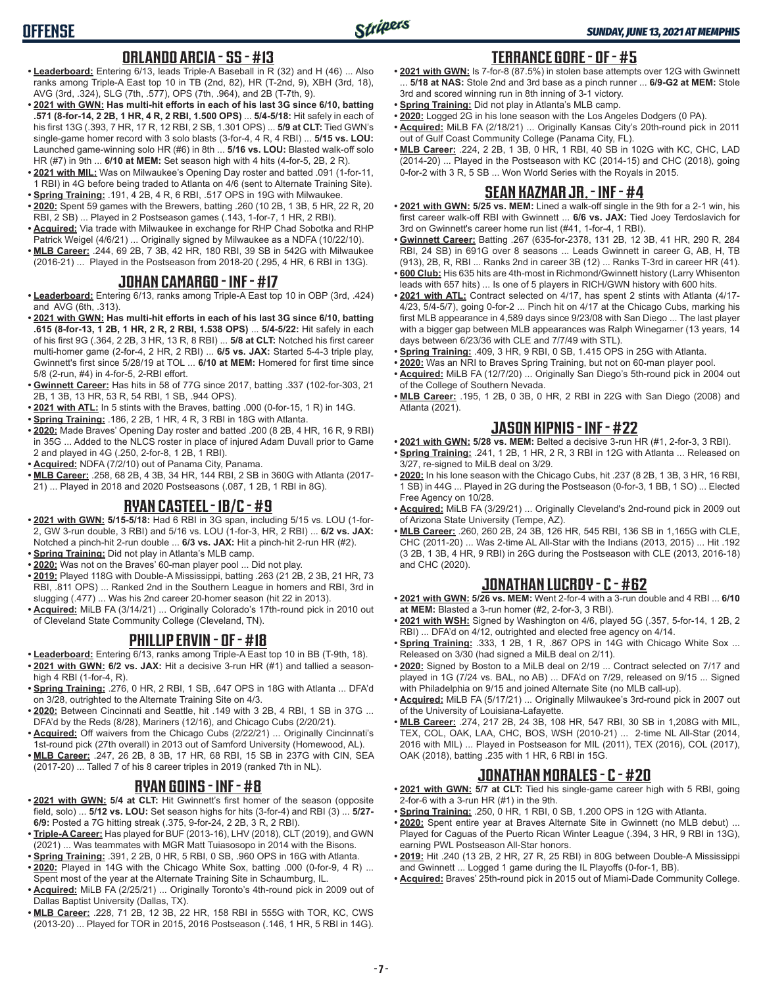### **ORLANDO ARCIA - SS - #13**

- **• Leaderboard:** Entering 6/13, leads Triple-A Baseball in R (32) and H (46) ... Also ranks among Triple-A East top 10 in TB (2nd, 82), HR (T-2nd, 9), XBH (3rd, 18), AVG (3rd, .324), SLG (7th, .577), OPS (7th, .964), and 2B (T-7th, 9).
- **• 2021 with GWN: Has multi-hit efforts in each of his last 3G since 6/10, batting .571 (8-for-14, 2 2B, 1 HR, 4 R, 2 RBI, 1.500 OPS)** ... **5/4-5/18:** Hit safely in each of his first 13G (.393, 7 HR, 17 R, 12 RBI, 2 SB, 1.301 OPS) ... **5/9 at CLT:** Tied GWN's single-game homer record with 3 solo blasts (3-for-4, 4 R, 4 RBI) ... **5/15 vs. LOU:** Launched game-winning solo HR (#6) in 8th ... **5/16 vs. LOU:** Blasted walk-off solo HR (#7) in 9th ... **6/10 at MEM:** Set season high with 4 hits (4-for-5, 2B, 2 R).
- **• 2021 with MIL:** Was on Milwaukee's Opening Day roster and batted .091 (1-for-11, 1 RBI) in 4G before being traded to Atlanta on 4/6 (sent to Alternate Training Site).
- **• Spring Training:** .191, 4 2B, 4 R, 6 RBI, .517 OPS in 19G with Milwaukee. **• 2020:** Spent 59 games with the Brewers, batting .260 (10 2B, 1 3B, 5 HR, 22 R, 20 RBI, 2 SB) ... Played in 2 Postseason games (.143, 1-for-7, 1 HR, 2 RBI).
- **• Acquired:** Via trade with Milwaukee in exchange for RHP Chad Sobotka and RHP Patrick Weigel (4/6/21) ... Originally signed by Milwaukee as a NDFA (10/22/10).
- **• MLB Career:** .244, 69 2B, 7 3B, 42 HR, 180 RBI, 39 SB in 542G with Milwaukee (2016-21) ... Played in the Postseason from 2018-20 (.295, 4 HR, 6 RBI in 13G).

## **JOHAN CAMARGO - INF - #17**

- **• Leaderboard:** Entering 6/13, ranks among Triple-A East top 10 in OBP (3rd, .424) and AVG (6th, .313).
- **• 2021 with GWN: Has multi-hit efforts in each of his last 3G since 6/10, batting .615 (8-for-13, 1 2B, 1 HR, 2 R, 2 RBI, 1.538 OPS)** ... **5/4-5/22:** Hit safely in each of his first 9G (.364, 2 2B, 3 HR, 13 R, 8 RBI) ... **5/8 at CLT:** Notched his first career multi-homer game (2-for-4, 2 HR, 2 RBI) ... **6/5 vs. JAX:** Started 5-4-3 triple play, Gwinnett's first since 5/28/19 at TOL ... **6/10 at MEM:** Homered for first time since 5/8 (2-run, #4) in 4-for-5, 2-RBI effort.
- **• Gwinnett Career:** Has hits in 58 of 77G since 2017, batting .337 (102-for-303, 21 2B, 1 3B, 13 HR, 53 R, 54 RBI, 1 SB, .944 OPS).
- **• 2021 with ATL:** In 5 stints with the Braves, batting .000 (0-for-15, 1 R) in 14G.
- **• Spring Training:** .186, 2 2B, 1 HR, 4 R, 3 RBI in 18G with Atlanta.
- **• 2020:** Made Braves' Opening Day roster and batted .200 (8 2B, 4 HR, 16 R, 9 RBI) in 35G ... Added to the NLCS roster in place of injured Adam Duvall prior to Game 2 and played in 4G (.250, 2-for-8, 1 2B, 1 RBI).
- **• Acquired:** NDFA (7/2/10) out of Panama City, Panama.
- **• MLB Career:** .258, 68 2B, 4 3B, 34 HR, 144 RBI, 2 SB in 360G with Atlanta (2017- 21) ... Played in 2018 and 2020 Postseasons (.087, 1 2B, 1 RBI in 8G).

## **RYAN CASTEEL - 1B/C - #9**

- **• 2021 with GWN: 5/15-5/18:** Had 6 RBI in 3G span, including 5/15 vs. LOU (1-for-2, GW 3-run double, 3 RBI) and 5/16 vs. LOU (1-for-3, HR, 2 RBI) ... **6/2 vs. JAX:** Notched a pinch-hit 2-run double ... **6/3 vs. JAX:** Hit a pinch-hit 2-run HR (#2).
- **• Spring Training:** Did not play in Atlanta's MLB camp.
- **• 2020:** Was not on the Braves' 60-man player pool ... Did not play.
- **• 2019:** Played 118G with Double-A Mississippi, batting .263 (21 2B, 2 3B, 21 HR, 73 RBI, .811 OPS) ... Ranked 2nd in the Southern League in homers and RBI, 3rd in slugging (.477) ... Was his 2nd career 20-homer season (hit 22 in 2013).
- **• Acquired:** MiLB FA (3/14/21) ... Originally Colorado's 17th-round pick in 2010 out of Cleveland State Community College (Cleveland, TN).

#### **PHILLIP ERVIN - OF - #18**

- **• Leaderboard:** Entering 6/13, ranks among Triple-A East top 10 in BB (T-9th, 18). **• 2021 with GWN: 6/2 vs. JAX:** Hit a decisive 3-run HR (#1) and tallied a seasonhigh 4 RBI (1-for-4, R).
- **• Spring Training:** .276, 0 HR, 2 RBI, 1 SB, .647 OPS in 18G with Atlanta ... DFA'd on 3/28, outrighted to the Alternate Training Site on 4/3.
- **• 2020:** Between Cincinnati and Seattle, hit .149 with 3 2B, 4 RBI, 1 SB in 37G ... DFA'd by the Reds (8/28), Mariners (12/16), and Chicago Cubs (2/20/21).
- **• Acquired:** Off waivers from the Chicago Cubs (2/22/21) ... Originally Cincinnati's 1st-round pick (27th overall) in 2013 out of Samford University (Homewood, AL).
- **• MLB Career:** .247, 26 2B, 8 3B, 17 HR, 68 RBI, 15 SB in 237G with CIN, SEA (2017-20) ... Talled 7 of his 8 career triples in 2019 (ranked 7th in NL).

# **RYAN GOINS - INF - #8**

- **• 2021 with GWN: 5/4 at CLT:** Hit Gwinnett's first homer of the season (opposite field, solo) ... **5/12 vs. LOU:** Set season highs for hits (3-for-4) and RBI (3) ... **5/27- 6/9:** Posted a 7G hitting streak (.375, 9-for-24, 2 2B, 3 R, 2 RBI).
- **• Triple-A Career:** Has played for BUF (2013-16), LHV (2018), CLT (2019), and GWN (2021) ... Was teammates with MGR Matt Tuiasosopo in 2014 with the Bisons.
- **• Spring Training:** .391, 2 2B, 0 HR, 5 RBI, 0 SB, .960 OPS in 16G with Atlanta.
- **• 2020:** Played in 14G with the Chicago White Sox, batting .000 (0-for-9, 4 R) ... Spent most of the year at the Alternate Training Site in Schaumburg, IL.
- **• Acquired:** MiLB FA (2/25/21) ... Originally Toronto's 4th-round pick in 2009 out of Dallas Baptist University (Dallas, TX).
- **• MLB Career:** .228, 71 2B, 12 3B, 22 HR, 158 RBI in 555G with TOR, KC, CWS (2013-20) ... Played for TOR in 2015, 2016 Postseason (.146, 1 HR, 5 RBI in 14G).

### **TERRANCE GORE - OF - #5**

- **• 2021 with GWN:** Is 7-for-8 (87.5%) in stolen base attempts over 12G with Gwinnett ... **5/18 at NAS:** Stole 2nd and 3rd base as a pinch runner ... **6/9-G2 at MEM:** Stole 3rd and scored winning run in 8th inning of 3-1 victory.
- **• Spring Training:** Did not play in Atlanta's MLB camp.
- **• 2020:** Logged 2G in his lone season with the Los Angeles Dodgers (0 PA).
- **• Acquired:** MiLB FA (2/18/21) ... Originally Kansas City's 20th-round pick in 2011 out of Gulf Coast Community College (Panama City, FL).
- **• MLB Career:** .224, 2 2B, 1 3B, 0 HR, 1 RBI, 40 SB in 102G with KC, CHC, LAD (2014-20) ... Played in the Postseason with KC (2014-15) and CHC (2018), going 0-for-2 with 3 R, 5 SB ... Won World Series with the Royals in 2015.

# **SEAN KAZMAR JR. - INF - #4**

- **• 2021 with GWN: 5/25 vs. MEM:** Lined a walk-off single in the 9th for a 2-1 win, his first career walk-off RBI with Gwinnett ... **6/6 vs. JAX:** Tied Joey Terdoslavich for 3rd on Gwinnett's career home run list (#41, 1-for-4, 1 RBI).
- **• Gwinnett Career:** Batting .267 (635-for-2378, 131 2B, 12 3B, 41 HR, 290 R, 284 RBI, 24 SB) in 691G over 8 seasons ... Leads Gwinnett in career G, AB, H, TB (913), 2B, R, RBI ... Ranks 2nd in career 3B (12) ... Ranks T-3rd in career HR (41).
- **• 600 Club:** His 635 hits are 4th-most in Richmond/Gwinnett history (Larry Whisenton leads with 657 hits) ... Is one of 5 players in RICH/GWN history with 600 hits.
- **• 2021 with ATL:** Contract selected on 4/17, has spent 2 stints with Atlanta (4/17- 4/23, 5/4-5/7), going 0-for-2 ... Pinch hit on 4/17 at the Chicago Cubs, marking his first MLB appearance in 4,589 days since 9/23/08 with San Diego ... The last player with a bigger gap between MLB appearances was Ralph Winegarner (13 years, 14 days between 6/23/36 with CLE and 7/7/49 with STL).
- **• Spring Training:** .409, 3 HR, 9 RBI, 0 SB, 1.415 OPS in 25G with Atlanta.
- **• 2020:** Was an NRI to Braves Spring Training, but not on 60-man player pool. **• Acquired:** MiLB FA (12/7/20) ... Originally San Diego's 5th-round pick in 2004 out
- of the College of Southern Nevada. **• MLB Career:** .195, 1 2B, 0 3B, 0 HR, 2 RBI in 22G with San Diego (2008) and Atlanta (2021).

#### **JASON KIPNIS - INF - #22**

- **• 2021 with GWN: 5/28 vs. MEM:** Belted a decisive 3-run HR (#1, 2-for-3, 3 RBI).
- **• Spring Training:** .241, 1 2B, 1 HR, 2 R, 3 RBI in 12G with Atlanta ... Released on 3/27, re-signed to MiLB deal on 3/29.
- **• 2020:** In his lone season with the Chicago Cubs, hit .237 (8 2B, 1 3B, 3 HR, 16 RBI, 1 SB) in 44G ... Played in 2G during the Postseason (0-for-3, 1 BB, 1 SO) ... Elected Free Agency on 10/28.
- **• Acquired:** MiLB FA (3/29/21) ... Originally Cleveland's 2nd-round pick in 2009 out of Arizona State University (Tempe, AZ).
- **• MLB Career:** .260, 260 2B, 24 3B, 126 HR, 545 RBI, 136 SB in 1,165G with CLE, CHC (2011-20) ... Was 2-time AL All-Star with the Indians (2013, 2015) ... Hit .192 (3 2B, 1 3B, 4 HR, 9 RBI) in 26G during the Postseason with CLE (2013, 2016-18) and CHC (2020).

## **JONATHAN LUCROY - C - #62**

- **• 2021 with GWN: 5/26 vs. MEM:** Went 2-for-4 with a 3-run double and 4 RBI ... **6/10 at MEM:** Blasted a 3-run homer (#2, 2-for-3, 3 RBI).
- **• 2021 with WSH:** Signed by Washington on 4/6, played 5G (.357, 5-for-14, 1 2B, 2 RBI) ... DFA'd on 4/12, outrighted and elected free agency on 4/14.
- **• Spring Training:** .333, 1 2B, 1 R, .867 OPS in 14G with Chicago White Sox ... Released on 3/30 (had signed a MiLB deal on 2/11).
- **• 2020:** Signed by Boston to a MiLB deal on 2/19 ... Contract selected on 7/17 and played in 1G (7/24 vs. BAL, no AB) ... DFA'd on 7/29, released on 9/15 ... Signed with Philadelphia on 9/15 and joined Alternate Site (no MLB call-up).
- **• Acquired:** MiLB FA (5/17/21) ... Originally Milwaukee's 3rd-round pick in 2007 out of the University of Louisiana-Lafayette.
- **• MLB Career:** .274, 217 2B, 24 3B, 108 HR, 547 RBI, 30 SB in 1,208G with MIL, TEX, COL, OAK, LAA, CHC, BOS, WSH (2010-21) ... 2-time NL All-Star (2014, 2016 with MIL) ... Played in Postseason for MIL (2011), TEX (2016), COL (2017), OAK (2018), batting .235 with 1 HR, 6 RBI in 15G.

## **JONATHAN MORALES - C - #20**

- **• 2021 with GWN: 5/7 at CLT:** Tied his single-game career high with 5 RBI, going 2-for-6 with a 3-run HR (#1) in the 9th.
- **• Spring Training:** .250, 0 HR, 1 RBI, 0 SB, 1.200 OPS in 12G with Atlanta.
- **• 2020:** Spent entire year at Braves Alternate Site in Gwinnett (no MLB debut) ... Played for Caguas of the Puerto Rican Winter League (.394, 3 HR, 9 RBI in 13G), earning PWL Postseason All-Star honors.
- **• 2019:** Hit .240 (13 2B, 2 HR, 27 R, 25 RBI) in 80G between Double-A Mississippi and Gwinnett ... Logged 1 game during the IL Playoffs (0-for-1, BB).
- **• Acquired:** Braves' 25th-round pick in 2015 out of Miami-Dade Community College.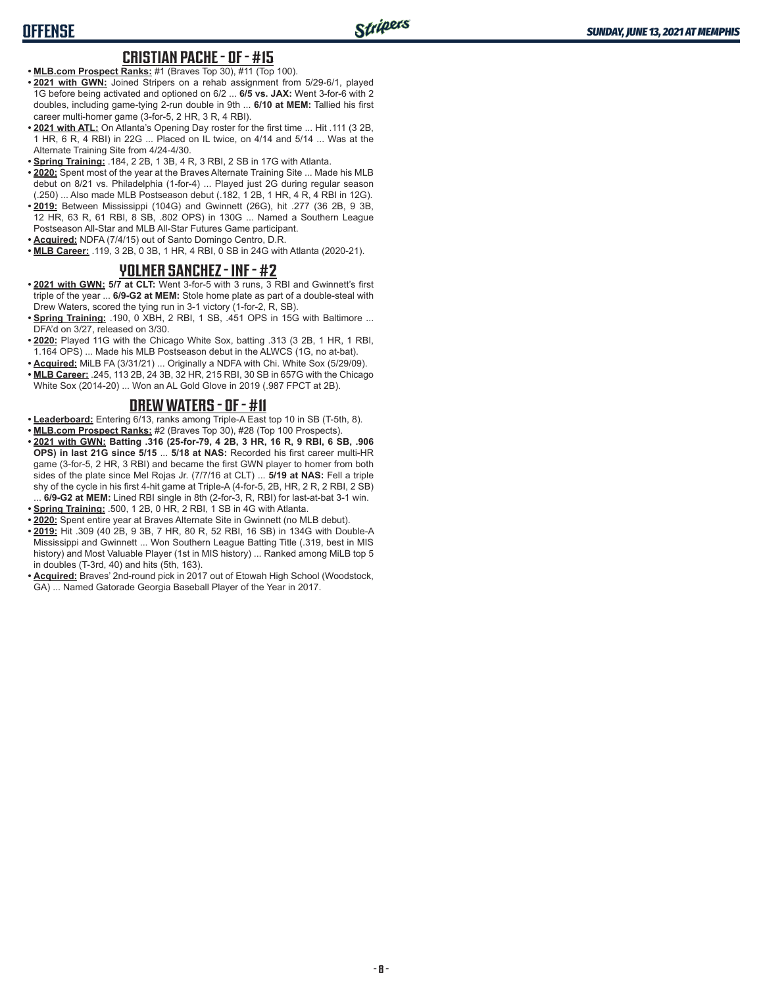#### **CRISTIAN PACHE - OF - #15**

- **• MLB.com Prospect Ranks:** #1 (Braves Top 30), #11 (Top 100).
- **• 2021 with GWN:** Joined Stripers on a rehab assignment from 5/29-6/1, played 1G before being activated and optioned on 6/2 ... **6/5 vs. JAX:** Went 3-for-6 with 2 doubles, including game-tying 2-run double in 9th ... **6/10 at MEM:** Tallied his first career multi-homer game (3-for-5, 2 HR, 3 R, 4 RBI).
- **• 2021 with ATL:** On Atlanta's Opening Day roster for the first time ... Hit .111 (3 2B, 1 HR, 6 R, 4 RBI) in 22G ... Placed on IL twice, on 4/14 and 5/14 ... Was at the Alternate Training Site from 4/24-4/30.
- **• Spring Training:** .184, 2 2B, 1 3B, 4 R, 3 RBI, 2 SB in 17G with Atlanta.
- **• 2020:** Spent most of the year at the Braves Alternate Training Site ... Made his MLB debut on 8/21 vs. Philadelphia (1-for-4) ... Played just 2G during regular season (.250) ... Also made MLB Postseason debut (.182, 1 2B, 1 HR, 4 R, 4 RBI in 12G).
- **• 2019:** Between Mississippi (104G) and Gwinnett (26G), hit .277 (36 2B, 9 3B, 12 HR, 63 R, 61 RBI, 8 SB, .802 OPS) in 130G ... Named a Southern League Postseason All-Star and MLB All-Star Futures Game participant.
- **• Acquired:** NDFA (7/4/15) out of Santo Domingo Centro, D.R.
- **• MLB Career:** .119, 3 2B, 0 3B, 1 HR, 4 RBI, 0 SB in 24G with Atlanta (2020-21).

#### **YOLMER SANCHEZ - INF - #2**

- **• 2021 with GWN: 5/7 at CLT:** Went 3-for-5 with 3 runs, 3 RBI and Gwinnett's first triple of the year ... **6/9-G2 at MEM:** Stole home plate as part of a double-steal with Drew Waters, scored the tying run in 3-1 victory (1-for-2, R, SB).
- **• Spring Training:** .190, 0 XBH, 2 RBI, 1 SB, .451 OPS in 15G with Baltimore ... DFA'd on 3/27, released on 3/30.
- **• 2020:** Played 11G with the Chicago White Sox, batting .313 (3 2B, 1 HR, 1 RBI, 1.164 OPS) ... Made his MLB Postseason debut in the ALWCS (1G, no at-bat).
- **• Acquired:** MiLB FA (3/31/21) ... Originally a NDFA with Chi. White Sox (5/29/09).
- **• MLB Career:** .245, 113 2B, 24 3B, 32 HR, 215 RBI, 30 SB in 657G with the Chicago White Sox (2014-20) ... Won an AL Gold Glove in 2019 (.987 FPCT at 2B).

## **DREW WATERS - OF - #11**

- **• Leaderboard:** Entering 6/13, ranks among Triple-A East top 10 in SB (T-5th, 8).
- **• MLB.com Prospect Ranks:** #2 (Braves Top 30), #28 (Top 100 Prospects). **• 2021 with GWN: Batting .316 (25-for-79, 4 2B, 3 HR, 16 R, 9 RBI, 6 SB, .906 OPS) in last 21G since 5/15** ... **5/18 at NAS:** Recorded his first career multi-HR game (3-for-5, 2 HR, 3 RBI) and became the first GWN player to homer from both sides of the plate since Mel Rojas Jr. (7/7/16 at CLT) ... **5/19 at NAS:** Fell a triple shy of the cycle in his first 4-hit game at Triple-A (4-for-5, 2B, HR, 2 R, 2 RBI, 2 SB)
- ... **6/9-G2 at MEM:** Lined RBI single in 8th (2-for-3, R, RBI) for last-at-bat 3-1 win.
- **• Spring Training:** .500, 1 2B, 0 HR, 2 RBI, 1 SB in 4G with Atlanta.
- **• 2020:** Spent entire year at Braves Alternate Site in Gwinnett (no MLB debut).
- **• 2019:** Hit .309 (40 2B, 9 3B, 7 HR, 80 R, 52 RBI, 16 SB) in 134G with Double-A Mississippi and Gwinnett ... Won Southern League Batting Title (.319, best in MIS history) and Most Valuable Player (1st in MIS history) ... Ranked among MiLB top 5 in doubles (T-3rd, 40) and hits (5th, 163).
- **• Acquired:** Braves' 2nd-round pick in 2017 out of Etowah High School (Woodstock, GA) ... Named Gatorade Georgia Baseball Player of the Year in 2017.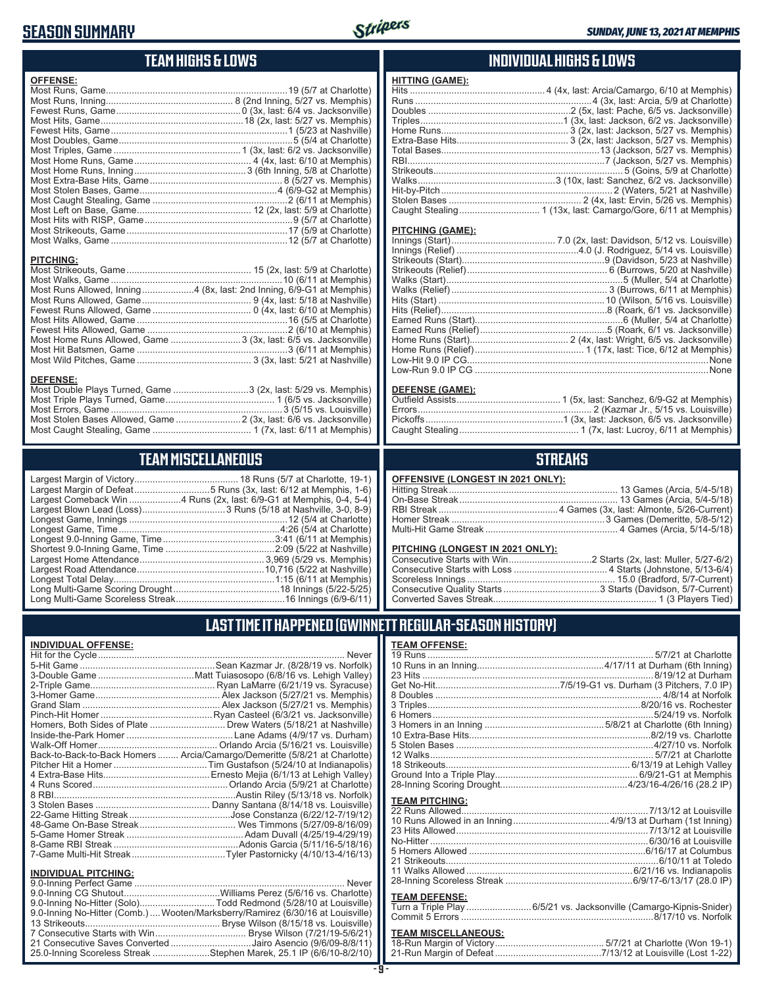# **SEASON SUMMARY**



## **TEAM HIGHS & LOWS**

| <b>OFFENSE:</b>                                                      |  |
|----------------------------------------------------------------------|--|
|                                                                      |  |
|                                                                      |  |
|                                                                      |  |
|                                                                      |  |
|                                                                      |  |
|                                                                      |  |
|                                                                      |  |
|                                                                      |  |
|                                                                      |  |
|                                                                      |  |
|                                                                      |  |
|                                                                      |  |
|                                                                      |  |
|                                                                      |  |
|                                                                      |  |
|                                                                      |  |
|                                                                      |  |
| <b>PITCHING:</b>                                                     |  |
|                                                                      |  |
|                                                                      |  |
| Most Runs Allowed, Inning4 (8x, last: 2nd Inning, 6/9-G1 at Memphis) |  |
|                                                                      |  |
|                                                                      |  |
|                                                                      |  |
|                                                                      |  |
| Most Home Runs Allowed, Game  3 (3x, last: 6/5 vs. Jacksonville)     |  |

Most Hit Batsmen, Game ..........................................................3 (6/11 at Memphis) Most Wild Pitches, Game ............................................ 3 (3x, last: 5/21 at Nashville)

Most Double Plays Turned, Game .............................3 (2x, last: 5/29 vs. Memphis) Most Triple Plays Turned, Game .......................................... 1 (6/5 vs. Jacksonville) Most Errors, Game ..................................................................3 (5/15 vs. Louisville) Most Stolen Bases Allowed, Game .........................2 (3x, last: 6/6 vs. Jacksonville) Most Caught Stealing, Game ...................................... 1 (7x, last: 6/11 at Memphis)

**TEAM MISCELLANEOUS** Largest Margin of Victory........................................ 18 Runs (5/7 at Charlotte, 19-1) Largest Margin of Defeat.............................5 Runs (3x, last: 6/12 at Memphis, 1-6) Largest Comeback Win ....................4 Runs (2x, last: 6/9-G1 at Memphis, 0-4, 5-4) Largest Blown Lead (Loss) ................................3 Runs (5/18 at Nashville, 3-0, 8-9) Longest Game, Innings .............................................................12 (5/4 at Charlotte) Longest Game, Time ..............................................................4:26 (5/4 at Charlotte) Longest 9.0-Inning Game, Time ...........................................3:41 (6/11 at Memphis) Shortest 9.0-Inning Game, Time ..........................................2:09 (5/22 at Nashville) Largest Home Attendance ................................................ 3,969 (5/29 vs. Memphis) Largest Road Attendance .................................................10,716 (5/22 at Nashville) Longest Total Delay..............................................................1:15 (6/11 at Memphis) Long Multi-Game Scoring Drought .........................................18 Innings (5/22-5/25) Long Multi-Game Scoreless Streak ..........................................16 Innings (6/9-6/11)

#### **INDIVIDUAL HIGHS & LOWS**

| Hits …………………………………………………………………………4 (4x, last: Arcia/Camargo, 6/10 at Memphis) |
|-------------------------------------------------------------------------------|
|                                                                               |
|                                                                               |
|                                                                               |
|                                                                               |
|                                                                               |
|                                                                               |
|                                                                               |
|                                                                               |
|                                                                               |
|                                                                               |
|                                                                               |
|                                                                               |
|                                                                               |

#### **PITCHING (GAME):**

#### **DEFENSE (GAME):**

#### **STREAKS**

| OFFENSIVE (LONGEST IN 2021 ONLY): |  |  |  |
|-----------------------------------|--|--|--|
|-----------------------------------|--|--|--|

#### **PITCHING (LONGEST IN 2021 ONLY):**

### **LAST TIME IT HAPPENED (GWINNETT REGULAR-SEASON HISTORY)**

#### **INDIVIDUAL OFFENSE:**

**DEFENSE:**

|                             | Homers, Both Sides of Plate  Drew Waters (5/18/21 at Nashville)            |
|-----------------------------|----------------------------------------------------------------------------|
|                             |                                                                            |
|                             |                                                                            |
|                             | Back-to-Back-to-Back Homers  Arcia/Camargo/Demeritte (5/8/21 at Charlotte) |
|                             |                                                                            |
|                             |                                                                            |
|                             |                                                                            |
|                             |                                                                            |
|                             |                                                                            |
|                             |                                                                            |
|                             |                                                                            |
|                             |                                                                            |
|                             |                                                                            |
|                             |                                                                            |
|                             |                                                                            |
| <b>INDIVIDUAL PITCHING:</b> |                                                                            |
|                             |                                                                            |

| 9.0-Inning No-Hitter (Solo)Todd Redmond (5/28/10 at Louisville)                |  |
|--------------------------------------------------------------------------------|--|
| 9.0-Inning No-Hitter (Comb.) Wooten/Marksberry/Ramirez (6/30/16 at Louisville) |  |
|                                                                                |  |
|                                                                                |  |
| 21 Consecutive Saves Converted Jairo Asencio (9/6/09-8/8/11)                   |  |
| 25.0-Inning Scoreless Streak Stephen Marek, 25.1 IP (6/6/10-8/2/10)            |  |
|                                                                                |  |

#### **- 9 -**

| <b>TEAM OFFENSE:</b> |  |
|----------------------|--|
|                      |  |
|                      |  |
|                      |  |
|                      |  |
|                      |  |
|                      |  |
|                      |  |
|                      |  |
|                      |  |
|                      |  |
|                      |  |
|                      |  |
|                      |  |
|                      |  |

#### **TEAM PITCHING:**

#### **TEAM DEFENSE:**

| Turn a Triple Play 6/5/21 vs. Jacksonville (Camargo-Kipnis-Snider) |  |
|--------------------------------------------------------------------|--|
|                                                                    |  |

# **TEAM MISCELLANEOUS:**